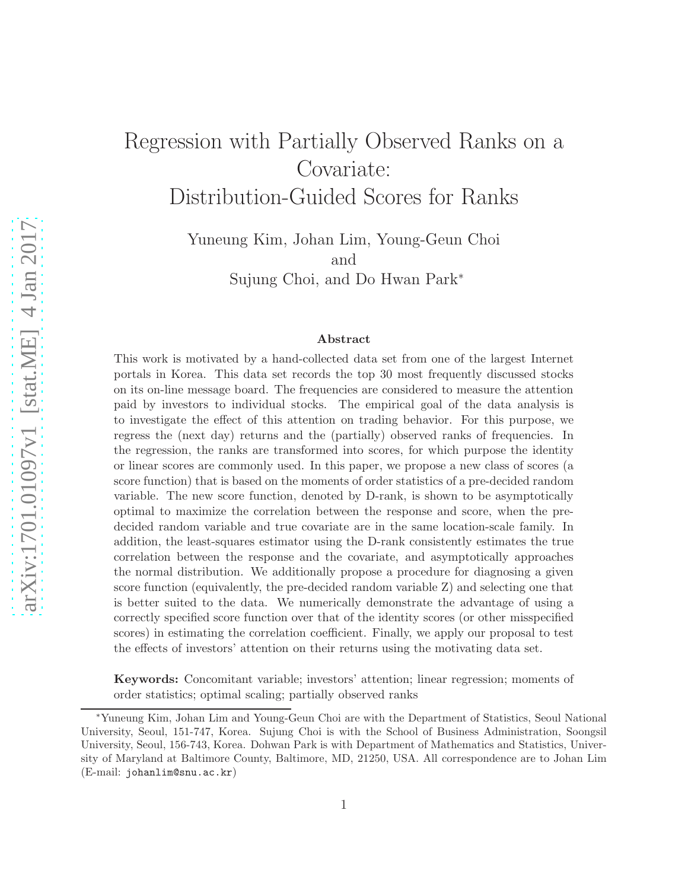# Regression with Partially Observed Ranks on a Covariate: Distribution-Guided Scores for Ranks

Yuneung Kim, Johan Lim, Young-Geun Choi and Sujung Choi, and Do Hwan Park<sup>∗</sup>

#### Abstract

This work is motivated by a hand-collected data set from one of the largest Internet portals in Korea. This data set records the top 30 most frequently discussed stocks on its on-line message board. The frequencies are considered to measure the attention paid by investors to individual stocks. The empirical goal of the data analysis is to investigate the effect of this attention on trading behavior. For this purpose, we regress the (next day) returns and the (partially) observed ranks of frequencies. In the regression, the ranks are transformed into scores, for which purpose the identity or linear scores are commonly used. In this paper, we propose a new class of scores (a score function) that is based on the moments of order statistics of a pre-decided random variable. The new score function, denoted by D-rank, is shown to be asymptotically optimal to maximize the correlation between the response and score, when the predecided random variable and true covariate are in the same location-scale family. In addition, the least-squares estimator using the D-rank consistently estimates the true correlation between the response and the covariate, and asymptotically approaches the normal distribution. We additionally propose a procedure for diagnosing a given score function (equivalently, the pre-decided random variable Z) and selecting one that is better suited to the data. We numerically demonstrate the advantage of using a correctly specified score function over that of the identity scores (or other misspecified scores) in estimating the correlation coefficient. Finally, we apply our proposal to test the effects of investors' attention on their returns using the motivating data set.

Keywords: Concomitant variable; investors' attention; linear regression; moments of order statistics; optimal scaling; partially observed ranks

<sup>∗</sup>Yuneung Kim, Johan Lim and Young-Geun Choi are with the Department of Statistics, Seoul National University, Seoul, 151-747, Korea. Sujung Choi is with the School of Business Administration, Soongsil University, Seoul, 156-743, Korea. Dohwan Park is with Department of Mathematics and Statistics, University of Maryland at Baltimore County, Baltimore, MD, 21250, USA. All correspondence are to Johan Lim (E-mail: johanlim@snu.ac.kr)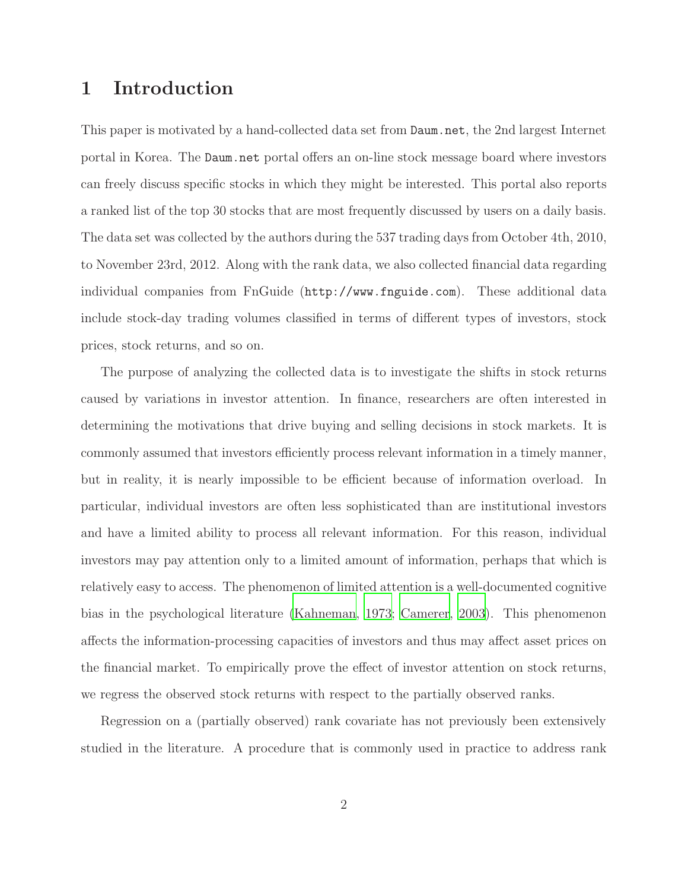### 1 Introduction

This paper is motivated by a hand-collected data set from Daum.net, the 2nd largest Internet portal in Korea. The Daum.net portal offers an on-line stock message board where investors can freely discuss specific stocks in which they might be interested. This portal also reports a ranked list of the top 30 stocks that are most frequently discussed by users on a daily basis. The data set was collected by the authors during the 537 trading days from October 4th, 2010, to November 23rd, 2012. Along with the rank data, we also collected financial data regarding individual companies from FnGuide (http://www.fnguide.com). These additional data include stock-day trading volumes classified in terms of different types of investors, stock prices, stock returns, and so on.

The purpose of analyzing the collected data is to investigate the shifts in stock returns caused by variations in investor attention. In finance, researchers are often interested in determining the motivations that drive buying and selling decisions in stock markets. It is commonly assumed that investors efficiently process relevant information in a timely manner, but in reality, it is nearly impossible to be efficient because of information overload. In particular, individual investors are often less sophisticated than are institutional investors and have a limited ability to process all relevant information. For this reason, individual investors may pay attention only to a limited amount of information, perhaps that which is relatively easy to access. The phenomenon of limited attention is a well-documented cognitive bias in the psychological literature [\(Kahneman](#page-26-0), [1973;](#page-26-0) [Camerer](#page-25-0), [2003\)](#page-25-0). This phenomenon affects the information-processing capacities of investors and thus may affect asset prices on the financial market. To empirically prove the effect of investor attention on stock returns, we regress the observed stock returns with respect to the partially observed ranks.

Regression on a (partially observed) rank covariate has not previously been extensively studied in the literature. A procedure that is commonly used in practice to address rank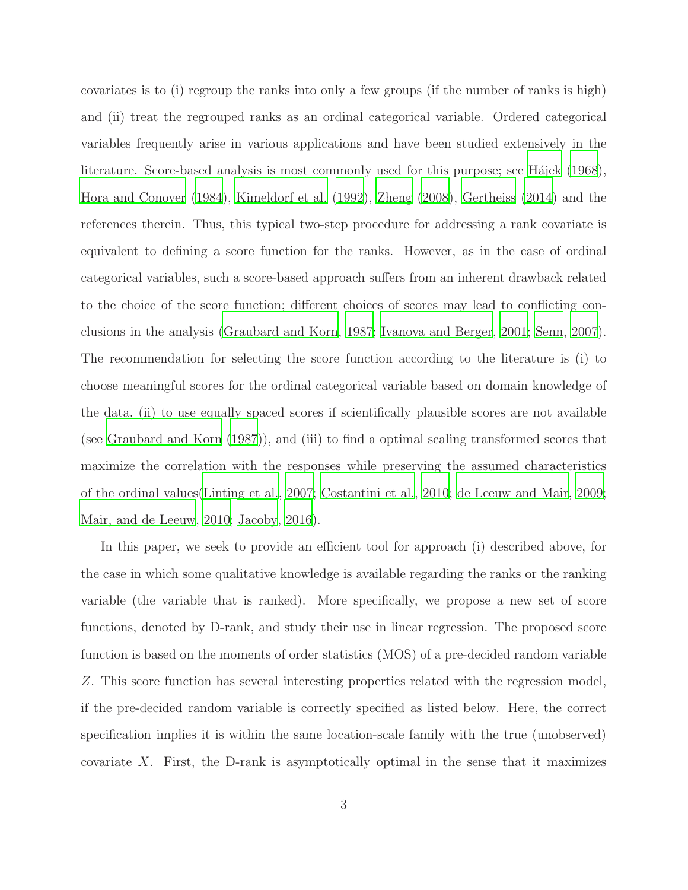covariates is to (i) regroup the ranks into only a few groups (if the number of ranks is high) and (ii) treat the regrouped ranks as an ordinal categorical variable. Ordered categorical variables frequently arise in various applications and have been studied extensively in the literature. Score-based analysis is most commonly used for this purpose; see Hajek (1968), [Hora and Conover \(1984](#page-26-2)), [Kimeldorf et al. \(1992\)](#page-27-0), [Zheng \(2008](#page-27-1)), [Gertheiss \(2014\)](#page-26-3) and the references therein. Thus, this typical two-step procedure for addressing a rank covariate is equivalent to defining a score function for the ranks. However, as in the case of ordinal categorical variables, such a score-based approach suffers from an inherent drawback related to the choice of the score function; different choices of scores may lead to conflicting conclusions in the analysis [\(Graubard and Korn](#page-26-4), [1987;](#page-26-4) [Ivanova and Berger](#page-26-5), [2001](#page-26-5); [Senn](#page-27-2), [2007](#page-27-2)). The recommendation for selecting the score function according to the literature is (i) to choose meaningful scores for the ordinal categorical variable based on domain knowledge of the data, (ii) to use equally spaced scores if scientifically plausible scores are not available (see [Graubard and Korn \(1987](#page-26-4))), and (iii) to find a optimal scaling transformed scores that maximize the correlation with the responses while preserving the assumed characteristics of the ordinal values[\(Linting et al., 2007;](#page-27-3) [Costantini et al., 2010;](#page-25-1) de [Leeuw and Mair](#page-26-6), [2009;](#page-26-6) [Mair, and de Leeuw](#page-27-4), [2010;](#page-27-4) [Jacoby](#page-26-7), [2016\)](#page-26-7).

In this paper, we seek to provide an efficient tool for approach (i) described above, for the case in which some qualitative knowledge is available regarding the ranks or the ranking variable (the variable that is ranked). More specifically, we propose a new set of score functions, denoted by D-rank, and study their use in linear regression. The proposed score function is based on the moments of order statistics (MOS) of a pre-decided random variable Z. This score function has several interesting properties related with the regression model, if the pre-decided random variable is correctly specified as listed below. Here, the correct specification implies it is within the same location-scale family with the true (unobserved) covariate X. First, the D-rank is asymptotically optimal in the sense that it maximizes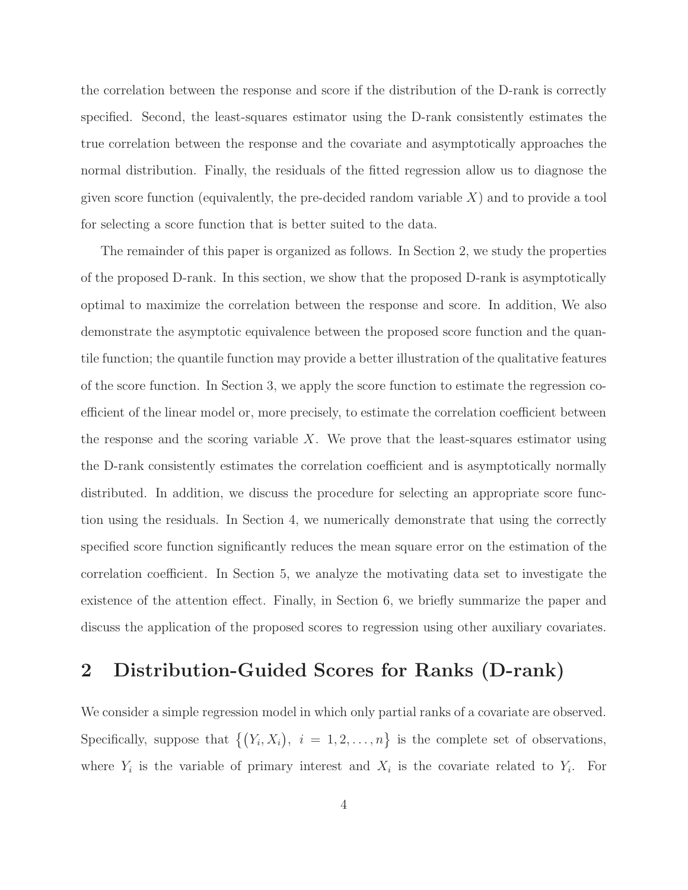the correlation between the response and score if the distribution of the D-rank is correctly specified. Second, the least-squares estimator using the D-rank consistently estimates the true correlation between the response and the covariate and asymptotically approaches the normal distribution. Finally, the residuals of the fitted regression allow us to diagnose the given score function (equivalently, the pre-decided random variable  $X$ ) and to provide a tool for selecting a score function that is better suited to the data.

The remainder of this paper is organized as follows. In Section 2, we study the properties of the proposed D-rank. In this section, we show that the proposed D-rank is asymptotically optimal to maximize the correlation between the response and score. In addition, We also demonstrate the asymptotic equivalence between the proposed score function and the quantile function; the quantile function may provide a better illustration of the qualitative features of the score function. In Section 3, we apply the score function to estimate the regression coefficient of the linear model or, more precisely, to estimate the correlation coefficient between the response and the scoring variable  $X$ . We prove that the least-squares estimator using the D-rank consistently estimates the correlation coefficient and is asymptotically normally distributed. In addition, we discuss the procedure for selecting an appropriate score function using the residuals. In Section 4, we numerically demonstrate that using the correctly specified score function significantly reduces the mean square error on the estimation of the correlation coefficient. In Section 5, we analyze the motivating data set to investigate the existence of the attention effect. Finally, in Section 6, we briefly summarize the paper and discuss the application of the proposed scores to regression using other auxiliary covariates.

### 2 Distribution-Guided Scores for Ranks (D-rank)

We consider a simple regression model in which only partial ranks of a covariate are observed. Specifically, suppose that  $\{(Y_i, X_i), i = 1, 2, ..., n\}$  is the complete set of observations, where  $Y_i$  is the variable of primary interest and  $X_i$  is the covariate related to  $Y_i$ . For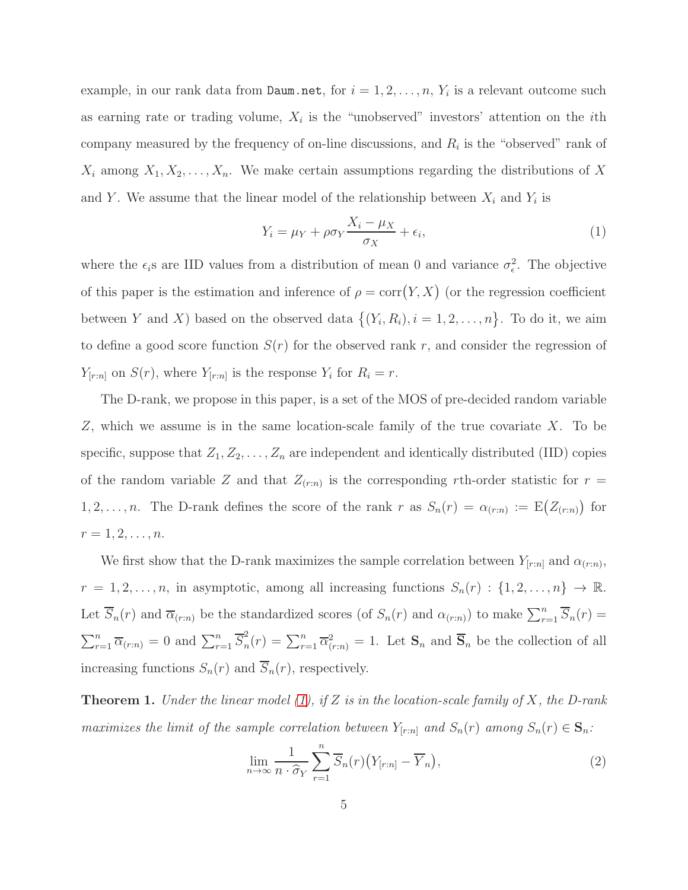example, in our rank data from  $\texttt{Daum.net}$ , for  $i=1,2,\ldots,n,$   $Y_i$  is a relevant outcome such as earning rate or trading volume,  $X_i$  is the "unobserved" investors' attention on the *i*th company measured by the frequency of on-line discussions, and  $R_i$  is the "observed" rank of  $X_i$  among  $X_1, X_2, \ldots, X_n$ . We make certain assumptions regarding the distributions of X and Y. We assume that the linear model of the relationship between  $X_i$  and  $Y_i$  is

<span id="page-4-0"></span>
$$
Y_i = \mu_Y + \rho \sigma_Y \frac{X_i - \mu_X}{\sigma_X} + \epsilon_i,
$$
\n(1)

where the  $\epsilon_i$ s are IID values from a distribution of mean 0 and variance  $\sigma_{\epsilon}^2$ . The objective of this paper is the estimation and inference of  $\rho = \text{corr}(Y, X)$  (or the regression coefficient between Y and X) based on the observed data  $\{(Y_i, R_i), i = 1, 2, ..., n\}$ . To do it, we aim to define a good score function  $S(r)$  for the observed rank r, and consider the regression of  $Y_{[r:n]}$  on  $S(r)$ , where  $Y_{[r:n]}$  is the response  $Y_i$  for  $R_i = r$ .

The D-rank, we propose in this paper, is a set of the MOS of pre-decided random variable Z, which we assume is in the same location-scale family of the true covariate X. To be specific, suppose that  $Z_1, Z_2, \ldots, Z_n$  are independent and identically distributed (IID) copies of the random variable Z and that  $Z_{(r:n)}$  is the corresponding rth-order statistic for  $r =$ 1, 2, ..., *n*. The D-rank defines the score of the rank r as  $S_n(r) = \alpha_{(r:n)} := E(Z_{(r:n)})$  for  $r = 1, 2, \ldots, n$ .

We first show that the D-rank maximizes the sample correlation between  $Y_{[r:n]}$  and  $\alpha_{(r:n)}$ ,  $r = 1, 2, \ldots, n$ , in asymptotic, among all increasing functions  $S_n(r) : \{1, 2, \ldots, n\} \to \mathbb{R}$ . Let  $\overline{S}_n(r)$  and  $\overline{\alpha}_{(r:n)}$  be the standardized scores (of  $S_n(r)$  and  $\alpha_{(r:n)}$ ) to make  $\sum_{r=1}^n \overline{S}_n(r)$  =  $\sum_{r=1}^{n} \overline{\alpha}_{(r:n)} = 0$  and  $\sum_{r=1}^{n} \overline{S}_{n}^{2}$  $n_n^2(r) = \sum_{r=1}^n \overline{\alpha}_{(r:n)}^2 = 1$ . Let  $\mathbf{S}_n$  and  $\overline{\mathbf{S}}_n$  be the collection of all increasing functions  $S_n(r)$  and  $\overline{S}_n(r)$ , respectively.

**Theorem 1.** Under the linear model  $(1)$ , if Z is in the location-scale family of X, the D-rank maximizes the limit of the sample correlation between  $Y_{[r:n]}$  and  $S_n(r)$  among  $S_n(r) \in \mathbf{S}_n$ :

$$
\lim_{n \to \infty} \frac{1}{n \cdot \widehat{\sigma}_Y} \sum_{r=1}^n \overline{S}_n(r) \big( Y_{[r:n]} - \overline{Y}_n \big),\tag{2}
$$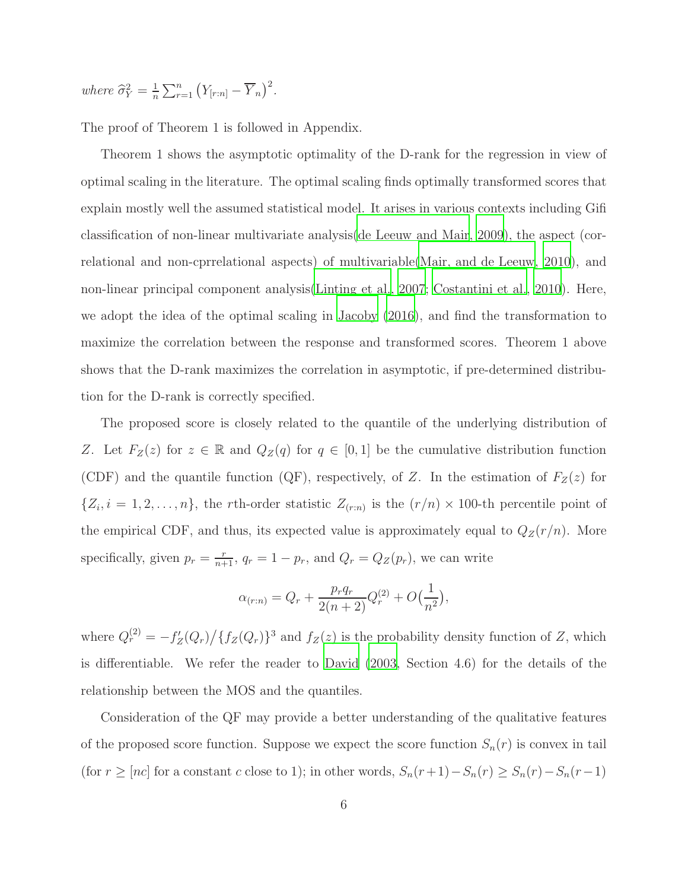where  $\widehat{\sigma}_Y^2 = \frac{1}{n}$  $\frac{1}{n}\sum_{r=1}^n (Y_{[r:n]} - \overline{Y}_n)^2$ .

The proof of Theorem 1 is followed in Appendix.

Theorem 1 shows the asymptotic optimality of the D-rank for the regression in view of optimal scaling in the literature. The optimal scaling finds optimally transformed scores that explain mostly well the assumed statistical model. It arises in various contexts including Gifi classification of non-linear multivariate analysis[\(de Leeuw and Mair, 2009](#page-26-6)), the aspect (correlational and non-cprrelational aspects) of multivariable[\(Mair, and de Leeuw](#page-27-4), [2010\)](#page-27-4), and non-linear principal component analysis[\(Linting et al., 2007;](#page-27-3) [Costantini et al., 2010\)](#page-25-1). Here, we adopt the idea of the optimal scaling in [Jacoby \(2016\)](#page-26-7), and find the transformation to maximize the correlation between the response and transformed scores. Theorem 1 above shows that the D-rank maximizes the correlation in asymptotic, if pre-determined distribution for the D-rank is correctly specified.

The proposed score is closely related to the quantile of the underlying distribution of Z. Let  $F_Z(z)$  for  $z \in \mathbb{R}$  and  $Q_Z(q)$  for  $q \in [0,1]$  be the cumulative distribution function (CDF) and the quantile function (QF), respectively, of Z. In the estimation of  $F_Z(z)$  for  $\{Z_i, i = 1, 2, \ldots, n\}$ , the rth-order statistic  $Z_{(r:n)}$  is the  $(r/n) \times 100$ -th percentile point of the empirical CDF, and thus, its expected value is approximately equal to  $Q_Z(r/n)$ . More specifically, given  $p_r = \frac{r}{n+1}$ ,  $q_r = 1 - p_r$ , and  $Q_r = Q_Z(p_r)$ , we can write

$$
\alpha_{(r:n)} = Q_r + \frac{p_r q_r}{2(n+2)} Q_r^{(2)} + O\left(\frac{1}{n^2}\right),
$$

where  $Q_r^{(2)} = -f'_Z(Q_r)/\{f_Z(Q_r)\}^3$  and  $f_Z(z)$  is the probability density function of Z, which is differentiable. We refer the reader to [David \(2003](#page-26-8), Section 4.6) for the details of the relationship between the MOS and the quantiles.

Consideration of the QF may provide a better understanding of the qualitative features of the proposed score function. Suppose we expect the score function  $S_n(r)$  is convex in tail (for  $r \geq [nc]$  for a constant c close to 1); in other words,  $S_n(r+1) - S_n(r) \geq S_n(r) - S_n(r-1)$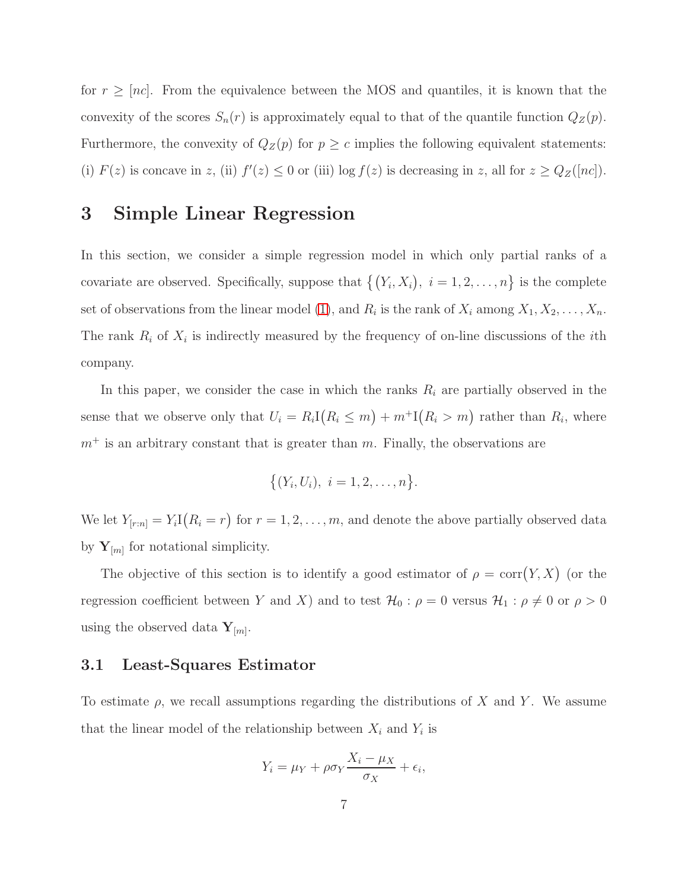for  $r \geq |nc|$ . From the equivalence between the MOS and quantiles, it is known that the convexity of the scores  $S_n(r)$  is approximately equal to that of the quantile function  $Q_Z(p)$ . Furthermore, the convexity of  $Q_Z(p)$  for  $p \geq c$  implies the following equivalent statements: (i)  $F(z)$  is concave in z, (ii)  $f'(z) \leq 0$  or (iii) log  $f(z)$  is decreasing in z, all for  $z \geq Q_Z([nc])$ .

### 3 Simple Linear Regression

In this section, we consider a simple regression model in which only partial ranks of a covariate are observed. Specifically, suppose that  $\{(Y_i, X_i), i = 1, 2, \ldots, n\}$  is the complete set of observations from the linear model [\(1\)](#page-4-0), and  $R_i$  is the rank of  $X_i$  among  $X_1, X_2, \ldots, X_n$ . The rank  $R_i$  of  $X_i$  is indirectly measured by the frequency of on-line discussions of the *i*th company.

In this paper, we consider the case in which the ranks  $R_i$  are partially observed in the sense that we observe only that  $U_i = R_i \mathbb{I}(R_i \le m) + m^+ \mathbb{I}(R_i > m)$  rather than  $R_i$ , where  $m<sup>+</sup>$  is an arbitrary constant that is greater than m. Finally, the observations are

$$
\{(Y_i, U_i), i = 1, 2, \ldots, n\}.
$$

We let  $Y_{[r:n]} = Y_i I(R_i = r)$  for  $r = 1, 2, ..., m$ , and denote the above partially observed data by  $Y_{[m]}$  for notational simplicity.

The objective of this section is to identify a good estimator of  $\rho = \text{corr}(Y, X)$  (or the regression coefficient between Y and X) and to test  $\mathcal{H}_0$ :  $\rho = 0$  versus  $\mathcal{H}_1$ :  $\rho \neq 0$  or  $\rho > 0$ using the observed data  $Y_{[m]}.$ 

#### 3.1 Least-Squares Estimator

To estimate  $\rho$ , we recall assumptions regarding the distributions of X and Y. We assume that the linear model of the relationship between  $X_i$  and  $Y_i$  is

$$
Y_i = \mu_Y + \rho \sigma_Y \frac{X_i - \mu_X}{\sigma_X} + \epsilon_i,
$$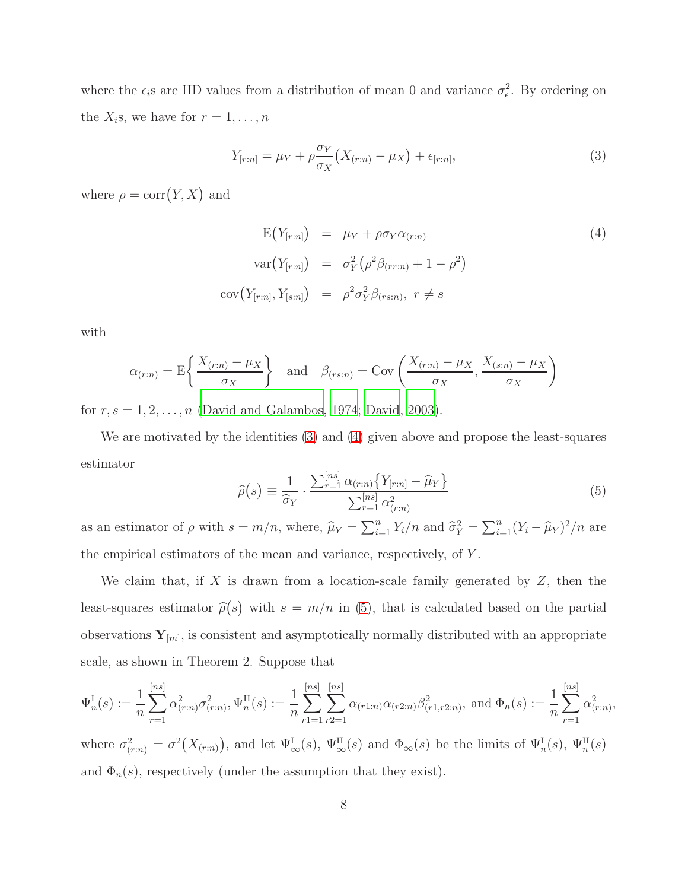where the  $\epsilon_i$ s are IID values from a distribution of mean 0 and variance  $\sigma_{\epsilon}^2$ . By ordering on the  $X_i$ s, we have for  $r = 1, \ldots, n$ 

<span id="page-7-0"></span>
$$
Y_{[r:n]} = \mu_Y + \rho \frac{\sigma_Y}{\sigma_X} \left( X_{(r:n)} - \mu_X \right) + \epsilon_{[r:n]}, \tag{3}
$$

where  $\rho = \text{corr}(Y, X)$  and

<span id="page-7-1"></span>
$$
E(Y_{[r:n]}) = \mu_Y + \rho \sigma_Y \alpha_{(r:n)} \tag{4}
$$
  

$$
var(Y_{[r:n]}) = \sigma_Y^2 (\rho^2 \beta_{(rr:n)} + 1 - \rho^2)
$$
  

$$
cov(Y_{[r:n]}, Y_{[s:n]}) = \rho^2 \sigma_Y^2 \beta_{(rs:n)}, r \neq s
$$

with

$$
\alpha_{(r:n)} = \mathcal{E}\left\{\frac{X_{(r:n)} - \mu_X}{\sigma_X}\right\} \quad \text{and} \quad \beta_{(rs:n)} = \text{Cov}\left(\frac{X_{(r:n)} - \mu_X}{\sigma_X}, \frac{X_{(s:n)} - \mu_X}{\sigma_X}\right)
$$

for  $r, s = 1, 2, \ldots, n$  [\(David and Galambos, 1974;](#page-26-9) [David](#page-26-8), [2003\)](#page-26-8).

<span id="page-7-2"></span>We are motivated by the identities [\(3\)](#page-7-0) and [\(4\)](#page-7-1) given above and propose the least-squares estimator

$$
\widehat{\rho}(s) \equiv \frac{1}{\widehat{\sigma}_Y} \cdot \frac{\sum_{r=1}^{[ns]} \alpha_{(r:n)} \{ Y_{[r:n]} - \widehat{\mu}_Y \}}{\sum_{r=1}^{[ns]} \alpha_{(r:n)}^2} \tag{5}
$$

as an estimator of  $\rho$  with  $s = m/n$ , where,  $\hat{\mu}_Y = \sum_{i=1}^n Y_i/n$  and  $\hat{\sigma}_Y^2 = \sum_{i=1}^n (Y_i - \hat{\mu}_Y)^2/n$  are the empirical estimators of the mean and variance, respectively, of Y .

We claim that, if  $X$  is drawn from a location-scale family generated by  $Z$ , then the least-squares estimator  $\hat{\rho}(s)$  with  $s = m/n$  in [\(5\)](#page-7-2), that is calculated based on the partial observations  $\mathbf{Y}_{[m]}$ , is consistent and asymptotically normally distributed with an appropriate scale, as shown in Theorem 2. Suppose that

$$
\Psi_n^{\text{I}}(s) := \frac{1}{n} \sum_{r=1}^{[ns]} \alpha_{(r:n)}^2 \sigma_{(r:n)}^2, \Psi_n^{\text{II}}(s) := \frac{1}{n} \sum_{r=1}^{[ns]} \sum_{r=1}^{[ns]} \alpha_{(r1:n)} \alpha_{(r2:n)} \beta_{(r1,r2:n)}^2, \text{ and } \Phi_n(s) := \frac{1}{n} \sum_{r=1}^{[ns]} \alpha_{(r:n)}^2,
$$

where  $\sigma_{(r:n)}^2 = \sigma^2(X_{(r:n)})$ , and let  $\Psi_{\infty}^{\text{I}}(s)$ ,  $\Psi_{\infty}^{\text{II}}(s)$  and  $\Phi_{\infty}(s)$  be the limits of  $\Psi_n^{\text{I}}(s)$ ,  $\Psi_n^{\text{II}}(s)$ and  $\Phi_n(s)$ , respectively (under the assumption that they exist).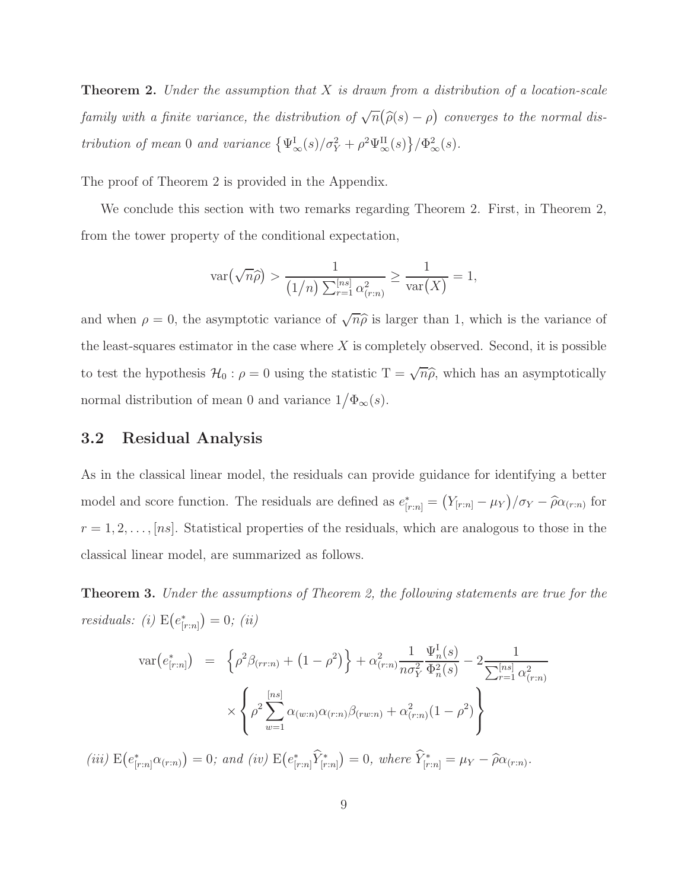**Theorem 2.** Under the assumption that X is drawn from a distribution of a location-scale family with a finite variance, the distribution of  $\sqrt{n}(\widehat{\rho}(s)-\rho)$  converges to the normal distribution of mean 0 and variance  $\{\Psi_{\infty}^{I}(s)/\sigma_{Y}^{2} + \rho^{2}\Psi_{\infty}^{II}(s)\}/\Phi_{\infty}^{2}(s)$ .

The proof of Theorem 2 is provided in the Appendix.

We conclude this section with two remarks regarding Theorem 2. First, in Theorem 2, from the tower property of the conditional expectation,

$$
\operatorname{var}(\sqrt{n}\widehat{\rho}) > \frac{1}{(1/n)\sum_{r=1}^{[ns]} \alpha_{(r:n)}^2} \ge \frac{1}{\operatorname{var}(X)} = 1,
$$

and when  $\rho = 0$ , the asymptotic variance of  $\sqrt{n}\hat{\rho}$  is larger than 1, which is the variance of the least-squares estimator in the case where  $X$  is completely observed. Second, it is possible to test the hypothesis  $\mathcal{H}_0: \rho = 0$  using the statistic  $T = \sqrt{n}\hat{\rho}$ , which has an asymptotically normal distribution of mean 0 and variance  $1/\Phi_{\infty}(s)$ .

#### 3.2 Residual Analysis

As in the classical linear model, the residuals can provide guidance for identifying a better model and score function. The residuals are defined as  $e_{[r:n]}^* = (Y_{[r:n]} - \mu_Y)/\sigma_Y - \hat{\rho}\alpha_{(r:n)}$  for  $r = 1, 2, \ldots, [ns]$ . Statistical properties of the residuals, which are analogous to those in the classical linear model, are summarized as follows.

Theorem 3. Under the assumptions of Theorem 2, the following statements are true for the residuals: (i)  $E(e_{i}^*)$  $\binom{*}{[r:n]} = 0; (ii)$ 

$$
\begin{split} \text{var}(e_{[r:n]}^*) &= \left\{ \rho^2 \beta_{(rr:n)} + \left( 1 - \rho^2 \right) \right\} + \alpha_{(r:n)}^2 \frac{1}{n \sigma_Y^2} \frac{\Psi_n^I(s)}{\Phi_n^2(s)} - 2 \frac{1}{\sum_{r=1}^{[ns]} \alpha_{(r:n)}^2} \\ &\times \left\{ \rho^2 \sum_{w=1}^{[ns]} \alpha_{(w:n)} \alpha_{(r:n)} \beta_{(rw:n)} + \alpha_{(r:n)}^2 (1 - \rho^2) \right\} \end{split}
$$

(iii)  $E(e_{[r:n]}^*\alpha_{(r:n)})=0$ ; and (iv)  $E(e_{[r}^*\alpha_{[r:n]}))$  $\hat{Y}_{[r:n]}^* \hat{Y}_{[r:n]}^* = 0, \text{ where } \hat{Y}_{[r:n]}^* = \mu_Y - \hat{\rho} \alpha_{(r:n)}.$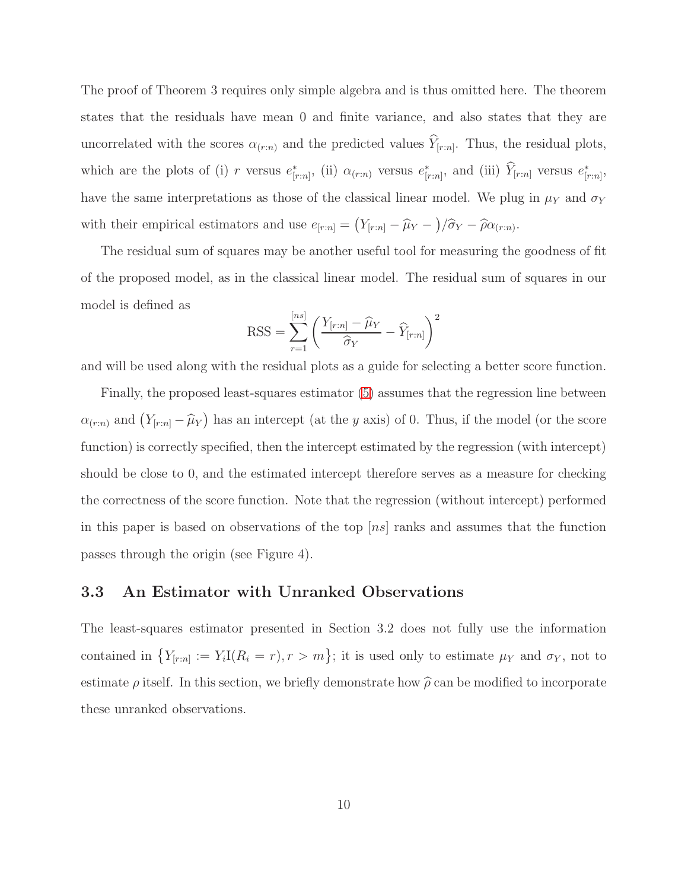The proof of Theorem 3 requires only simple algebra and is thus omitted here. The theorem states that the residuals have mean 0 and finite variance, and also states that they are uncorrelated with the scores  $\alpha_{(r:n)}$  and the predicted values  $Y_{[r:n]}$ . Thus, the residual plots, which are the plots of (i) r versus  $e_{i}^*$  $\zeta_{[r:n]}^*$ , (ii)  $\alpha_{(r:n)}$  versus  $e_{[r:n]}^*$  $\hat{r}_{[r:n]}$ , and (iii)  $\hat{Y}_{[r:n]}$  versus  $e_{[r}^*$  $_{[r:n]}^*$ have the same interpretations as those of the classical linear model. We plug in  $\mu_Y$  and  $\sigma_Y$ with their empirical estimators and use  $e_{[r:n]} = (Y_{[r:n]} - \hat{\mu}_Y -)/\hat{\sigma}_Y - \hat{\rho}\alpha_{(r:n)}$ .

The residual sum of squares may be another useful tool for measuring the goodness of fit of the proposed model, as in the classical linear model. The residual sum of squares in our model is defined as

$$
RSS = \sum_{r=1}^{[ns]} \left( \frac{Y_{[r:n]} - \widehat{\mu}_Y}{\widehat{\sigma}_Y} - \widehat{Y}_{[r:n]} \right)^2
$$

and will be used along with the residual plots as a guide for selecting a better score function.

Finally, the proposed least-squares estimator [\(5\)](#page-7-2) assumes that the regression line between  $\alpha_{(r:n)}$  and  $(Y_{[r:n]} - \widehat{\mu}_Y)$  has an intercept (at the y axis) of 0. Thus, if the model (or the score function) is correctly specified, then the intercept estimated by the regression (with intercept) should be close to 0, and the estimated intercept therefore serves as a measure for checking the correctness of the score function. Note that the regression (without intercept) performed in this paper is based on observations of the top  $|ns|$  ranks and assumes that the function passes through the origin (see Figure 4).

#### 3.3 An Estimator with Unranked Observations

The least-squares estimator presented in Section 3.2 does not fully use the information contained in  ${Y_{[r:n]} := Y_i I(R_i = r), r > m}$ ; it is used only to estimate  $\mu_Y$  and  $\sigma_Y$ , not to estimate  $\rho$  itself. In this section, we briefly demonstrate how  $\hat{\rho}$  can be modified to incorporate these unranked observations.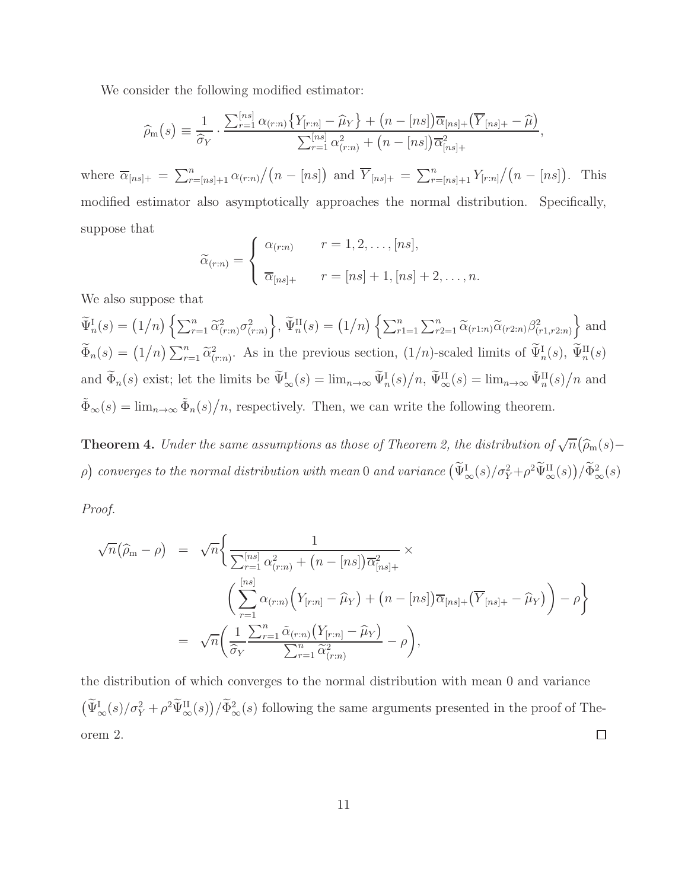We consider the following modified estimator:

$$
\widehat{\rho}_{m}(s) \equiv \frac{1}{\widehat{\sigma}_{Y}} \cdot \frac{\sum_{r=1}^{[ns]} \alpha_{(r:n)} \{Y_{[r:n]} - \widehat{\mu}_{Y}\} + (n - [ns]) \overline{\alpha}_{[ns] +} (\overline{Y}_{[ns] +} - \widehat{\mu})}{\sum_{r=1}^{[ns]} \alpha_{(r:n)}^{2} + (n - [ns]) \overline{\alpha}_{[ns] +}^{2}},
$$

where  $\overline{\alpha}_{[ns]+} = \sum_{r=[ns]+1}^{n} \alpha_{(r:n)} / (n - [ns])$  and  $\overline{Y}_{[ns]+} = \sum_{r=[ns]+1}^{n} Y_{[r:n]} / (n - [ns])$ . This modified estimator also asymptotically approaches the normal distribution. Specifically, suppose that

$$
\widetilde{\alpha}_{(r:n)} = \begin{cases}\n\alpha_{(r:n)} & r = 1, 2, \dots, [ns], \\
\overline{\alpha}_{[ns]+} & r = [ns] + 1, [ns] + 2, \dots, n.\n\end{cases}
$$

We also suppose that

 $\widetilde{\Psi}_{n}^{I}(s) = (1/n) \left\{ \sum_{r=1}^{n} \widetilde{\alpha}_{(r:n)}^{2} \sigma_{(r:n)}^{2} \right\}$  $\Big\}, \widetilde{\Psi}_n^{\text{II}}(s) = (1/n) \left\{ \sum_{r=1}^n \sum_{r=1}^n \widetilde{\alpha}_{(r1:n)} \widetilde{\alpha}_{(r2:n)} \beta_{(r1,r2:n)}^2 \right\}$  $\}$  and  $\widetilde{\Phi}_n(s) = (1/n) \sum_{r=1}^n \widetilde{\alpha}_{(r:n)}^2$ . As in the previous section,  $(1/n)$ -scaled limits of  $\widetilde{\Psi}_n^{\text{I}}(s)$ ,  $\widetilde{\Psi}_n^{\text{II}}(s)$ and  $\widetilde{\Phi}_n(s)$  exist; let the limits be  $\widetilde{\Psi}^{\text{I}}_{\infty}(s) = \lim_{n \to \infty} \widetilde{\Psi}^{\text{I}}_n(s)/n$ ,  $\widetilde{\Psi}^{\text{II}}_{\infty}(s) = \lim_{n \to \infty} \widetilde{\Psi}^{\text{II}}_n(s)/n$  and  $\tilde{\Phi}_{\infty}(s) = \lim_{n \to \infty} \tilde{\Phi}_n(s)/n$ , respectively. Then, we can write the following theorem.

**Theorem 4.** Under the same assumptions as those of Theorem 2, the distribution of  $\sqrt{n}(\widehat{\rho}_m(s)$ p) converges to the normal distribution with mean 0 and variance  $(\widetilde{\Psi}^{\rm I}_{\infty}(s)/\sigma^2_Y + \rho^2 \widetilde{\Psi}^{\rm II}_{\infty}(s))/\widetilde{\Phi}^2_{\infty}(s)$ 

Proof.

$$
\sqrt{n}(\widehat{\rho}_{m} - \rho) = \sqrt{n} \Biggl\{ \frac{1}{\sum_{r=1}^{[ns]} \alpha_{(r:n)}^{2} + (n - [ns]) \overline{\alpha}_{[ns]+}^{2}} \times \Biggl\{ \left( \sum_{r=1}^{[ns]} \alpha_{(r:n)} \Biggl( Y_{[r:n]} - \widehat{\mu}_{Y} \Biggr) + (n - [ns]) \overline{\alpha}_{[ns]+} \Bigl( \overline{Y}_{[ns]+} - \widehat{\mu}_{Y} \Biggr) \right) - \rho \Biggr\}
$$
  

$$
= \sqrt{n} \Biggl( \frac{1}{\widehat{\sigma}_{Y}} \frac{\sum_{r=1}^{n} \widetilde{\alpha}_{(r:n)} \Bigl( Y_{[r:n]} - \widehat{\mu}_{Y} \Bigr)}{\sum_{r=1}^{n} \widetilde{\alpha}_{(r:n)}^{2}} - \rho \Biggr),
$$

the distribution of which converges to the normal distribution with mean 0 and variance  $\left(\widetilde{\Psi}_{\infty}^{\text{I}}(s)/\sigma_{Y}^{2}+\rho^{2}\widetilde{\Psi}_{\infty}^{\text{II}}(s)\right)/\widetilde{\Phi}_{\infty}^{2}(s)$  following the same arguments presented in the proof of Theorem 2.  $\Box$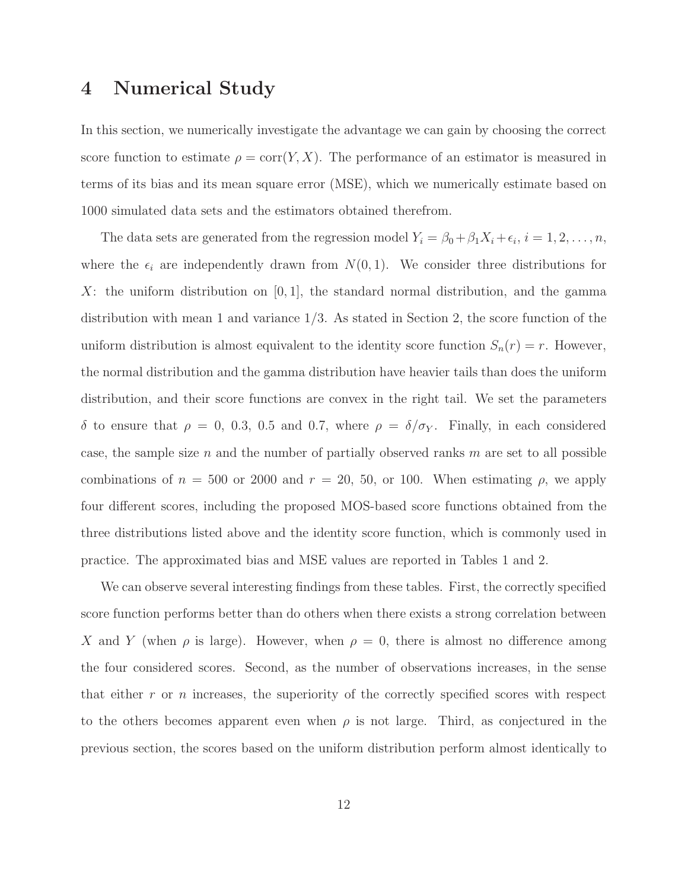### 4 Numerical Study

In this section, we numerically investigate the advantage we can gain by choosing the correct score function to estimate  $\rho = \text{corr}(Y, X)$ . The performance of an estimator is measured in terms of its bias and its mean square error (MSE), which we numerically estimate based on 1000 simulated data sets and the estimators obtained therefrom.

The data sets are generated from the regression model  $Y_i = \beta_0 + \beta_1 X_i + \epsilon_i, i = 1, 2, \ldots, n$ , where the  $\epsilon_i$  are independently drawn from  $N(0, 1)$ . We consider three distributions for X: the uniform distribution on  $[0, 1]$ , the standard normal distribution, and the gamma distribution with mean 1 and variance 1/3. As stated in Section 2, the score function of the uniform distribution is almost equivalent to the identity score function  $S_n(r) = r$ . However, the normal distribution and the gamma distribution have heavier tails than does the uniform distribution, and their score functions are convex in the right tail. We set the parameters δ to ensure that  $ρ = 0$ , 0.3, 0.5 and 0.7, where  $ρ = δ/σ<sub>Y</sub>$ . Finally, in each considered case, the sample size  $n$  and the number of partially observed ranks  $m$  are set to all possible combinations of  $n = 500$  or 2000 and  $r = 20$ , 50, or 100. When estimating  $\rho$ , we apply four different scores, including the proposed MOS-based score functions obtained from the three distributions listed above and the identity score function, which is commonly used in practice. The approximated bias and MSE values are reported in Tables 1 and 2.

We can observe several interesting findings from these tables. First, the correctly specified score function performs better than do others when there exists a strong correlation between X and Y (when  $\rho$  is large). However, when  $\rho = 0$ , there is almost no difference among the four considered scores. Second, as the number of observations increases, in the sense that either  $r$  or  $n$  increases, the superiority of the correctly specified scores with respect to the others becomes apparent even when  $\rho$  is not large. Third, as conjectured in the previous section, the scores based on the uniform distribution perform almost identically to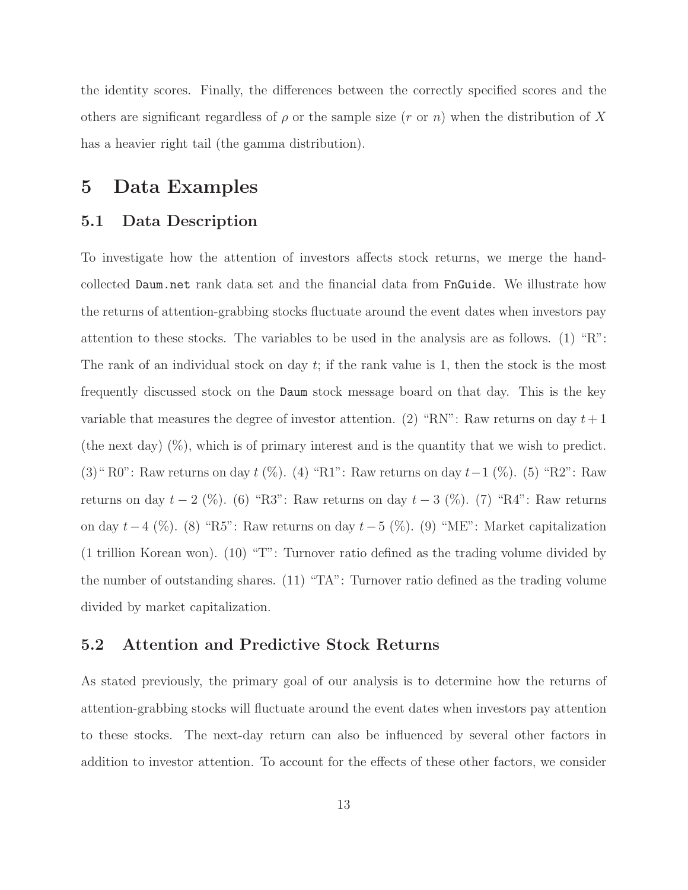the identity scores. Finally, the differences between the correctly specified scores and the others are significant regardless of  $\rho$  or the sample size (r or n) when the distribution of X has a heavier right tail (the gamma distribution).

### 5 Data Examples

#### 5.1 Data Description

To investigate how the attention of investors affects stock returns, we merge the handcollected Daum.net rank data set and the financial data from FnGuide. We illustrate how the returns of attention-grabbing stocks fluctuate around the event dates when investors pay attention to these stocks. The variables to be used in the analysis are as follows. (1) "R": The rank of an individual stock on day t; if the rank value is 1, then the stock is the most frequently discussed stock on the Daum stock message board on that day. This is the key variable that measures the degree of investor attention. (2) "RN": Raw returns on day  $t+1$ (the next day)  $(\%)$ , which is of primary interest and is the quantity that we wish to predict. (3)" R0": Raw returns on day t (%). (4) "R1": Raw returns on day t−1 (%). (5) "R2": Raw returns on day  $t - 2$  (%). (6) "R3": Raw returns on day  $t - 3$  (%). (7) "R4": Raw returns on day  $t-4$  (%). (8) "R5": Raw returns on day  $t-5$  (%). (9) "ME": Market capitalization (1 trillion Korean won). (10) "T": Turnover ratio defined as the trading volume divided by the number of outstanding shares. (11) "TA": Turnover ratio defined as the trading volume divided by market capitalization.

#### 5.2 Attention and Predictive Stock Returns

As stated previously, the primary goal of our analysis is to determine how the returns of attention-grabbing stocks will fluctuate around the event dates when investors pay attention to these stocks. The next-day return can also be influenced by several other factors in addition to investor attention. To account for the effects of these other factors, we consider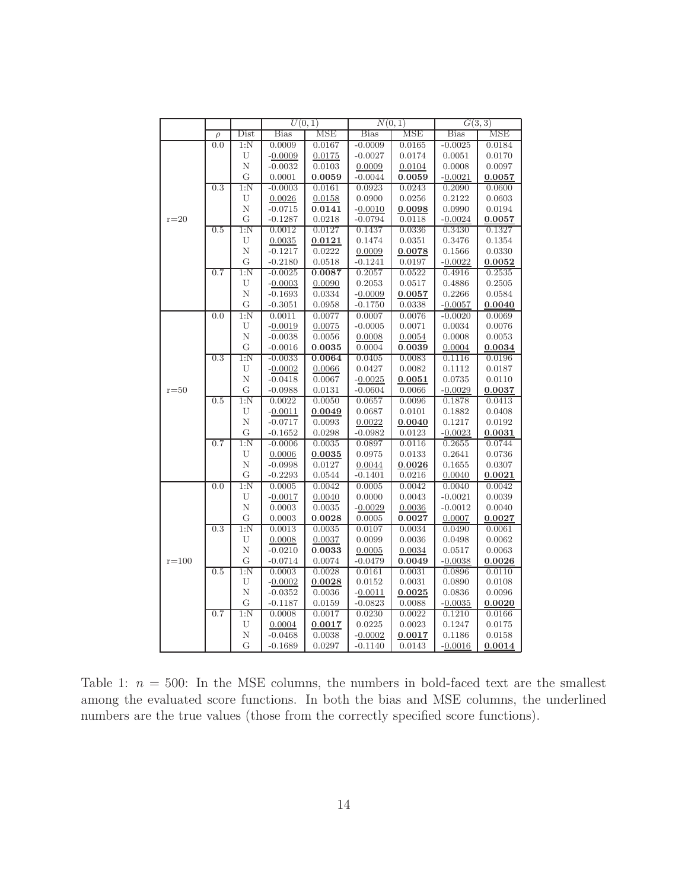|           |        |                         | $\overline{U(0,1)}$ |                  | N(0,1)              |                  | G(3,3)           |                  |
|-----------|--------|-------------------------|---------------------|------------------|---------------------|------------------|------------------|------------------|
|           | $\rho$ | Dist                    | <b>Bias</b>         | <b>MSE</b>       | <b>Bias</b>         | MSE              | <b>Bias</b>      | <b>MSE</b>       |
|           | 0.0    | 1:N                     | 0.0009              | 0.0167           | $-0.0009$           | 0.0165           | $-0.0025$        | 0.0184           |
|           |        | U                       | $-0.0009$           | 0.0175           | $-0.0027$           | 0.0174           | 0.0051           | 0.0170           |
|           |        | N                       | $-0.0032$           | 0.0103           | 0.0009              | 0.0104           | 0.0008           | 0.0097           |
|           |        | G                       | 0.0001              | 0.0059           | $-0.0044$           | 0.0059           | $-0.0021$        | 0.0057           |
|           | 0.3    | $1:\!N$                 | $-0.0003$           | 0.0161           | 0.0923              | 0.0243           | 0.2090           | 0.0600           |
|           |        | U                       | 0.0026              | 0.0158           | 0.0900              | 0.0256           | 0.2122           | 0.0603           |
|           |        | N                       | $-0.0715$           | 0.0141           | $-0.0010$           | 0.0098           | 0.0990           | 0.0194           |
| $r = 20$  |        | G                       | $-0.1287$           | 0.0218           | $-0.0794$           | 0.0118           | $-0.0024$        | 0.0057           |
|           | 0.5    | $1:\!N$                 | 0.0012              | 0.0127           | 0.1437              | 0.0336           | 0.3430           | 0.1327           |
|           |        | U                       | 0.0035              | 0.0121           | 0.1474              | 0.0351           | 0.3476           | 0.1354           |
|           |        | $\mathbf N$             | $-0.1217$           | 0.0222           | 0.0009              | 0.0078           | 0.1566           | 0.0330           |
|           |        | G                       | $-0.2180$           | 0.0518           | $-0.1241$           | 0.0197           | $-0.0022$        | 0.0052           |
|           | 0.7    | $1:\!N$                 | $-0.0025$           | 0.0087           | 0.2057              | 0.0522           | 0.4916           | 0.2535           |
|           |        | U                       | $-0.0003$           | 0.0090           | 0.2053              | 0.0517           | 0.4886           | 0.2505           |
|           |        | N                       | $-0.1693$           | 0.0334           | $-0.0009$           | 0.0057           | 0.2266           | 0.0584           |
|           |        | G                       | $-0.3051$           | 0.0958           | $-0.1750$           | 0.0338           | $-0.0057$        | 0.0040           |
|           | 0.0    | $1:\overline{\text{N}}$ | 0.0011              | 0.0077           | 0.0007              | 0.0076           | $-0.0020$        | 0.0069           |
|           |        | U                       | $-0.0019$           | 0.0075           | $-0.0005$           | 0.0071           | 0.0034           | 0.0076           |
|           |        | N                       | $-0.0038$           | 0.0056           | 0.0008              | 0.0054           | 0.0008           | 0.0053           |
|           |        | G                       | $-0.0016$           | 0.0035           | 0.0004              | 0.0039           | 0.0004           | 0.0034           |
|           | 0.3    | 1:N                     | $-0.0033$           | 0.0064           | 0.0405              | 0.0083           | 0.1116           | 0.0196           |
|           |        | U                       | $-0.0002$           | 0.0066           | 0.0427              | 0.0082           | 0.1112           | 0.0187           |
|           |        | $\mathbf N$             | $-0.0418$           | 0.0067           | $-0.0025$           | 0.0051           | 0.0735           | 0.0110           |
| $r = 50$  |        | G                       | $-0.0988$           | 0.0131           | $-0.0604$           | 0.0066           | $-0.0029$        | 0.0037           |
|           | 0.5    | $1:\!N$                 | 0.0022              | 0.0050           | 0.0657              | 0.0096           | 0.1878           | 0.0413           |
|           |        | U                       | $-0.0011$           | 0.0049           | 0.0687              | 0.0101           | 0.1882           | 0.0408           |
|           |        | N                       | $-0.0717$           | 0.0093           | 0.0022              | 0.0040           | 0.1217           | 0.0192           |
|           |        | G                       | $-0.1652$           | 0.0298           | $-0.0982$           | 0.0123           | $-0.0023$        | 0.0031           |
|           | 0.7    | 1:N                     | $-0.0006$           | 0.0035           | 0.0897              | 0.0116           | 0.2655           | 0.0744           |
|           |        | U                       | 0.0006              | 0.0035           | 0.0975              | 0.0133           | 0.2641           | 0.0736           |
|           |        | N                       | $-0.0998$           | 0.0127           | 0.0044              | 0.0026           | 0.1655           | 0.0307           |
|           | 0.0    | G<br>1:N                | $-0.2293$<br>0.0005 | 0.0544<br>0.0042 | $-0.1401$<br>0.0005 | 0.0216<br>0.0042 | 0.0040<br>0.0040 | 0.0021<br>0.0042 |
| $r = 100$ |        | U                       |                     |                  | 0.0000              | 0.0043           | $-0.0021$        | 0.0039           |
|           |        | N                       | $-0.0017$<br>0.0003 | 0.0040<br>0.0035 | $-0.0029$           | 0.0036           | $-0.0012$        | 0.0040           |
|           |        | G                       | 0.0003              | 0.0028           | 0.0005              | 0.0027           | 0.0007           | 0.0027           |
|           | 0.3    | $1:\!N$                 | 0.0013              | 0.0035           | 0.0107              | 0.0034           | 0.0490           | 0.0061           |
|           |        | U                       | 0.0008              | 0.0037           | 0.0099              | 0.0036           | 0.0498           | 0.0062           |
|           |        | N                       | $-0.0210$           | 0.0033           | 0.0005              | 0.0034           | 0.0517           | 0.0063           |
|           |        | G                       | $-0.0714$           | 0.0074           | $-0.0479$           | 0.0049           | $-0.0038$        | 0.0026           |
|           | 0.5    | 1:N                     | 0.0003              | 0.0028           | 0.0161              | 0.0031           | 0.0896           | 0.0110           |
|           |        | U                       | $-0.0002$           | 0.0028           | 0.0152              | 0.0031           | 0.0890           | 0.0108           |
|           |        | N                       | $-0.0352$           | 0.0036           | $-0.0011$           | 0.0025           | 0.0836           | 0.0096           |
|           |        | G                       | $-0.1187$           | 0.0159           | $-0.0823$           | 0.0088           | $-0.0035$        | 0.0020           |
|           | 0.7    | $1:\!N$                 | 0.0008              | 0.0017           | 0.0230              | 0.0022           | 0.1210           | 0.0166           |
|           |        | U                       | 0.0004              | 0.0017           | 0.0225              | 0.0023           | 0.1247           | 0.0175           |
|           |        | Ν                       | $-0.0468$           | 0.0038           | $-0.0002$           | 0.0017           | 0.1186           | 0.0158           |
|           |        | G                       | $-0.1689$           | 0.0297           | $-0.1140$           | 0.0143           | $-0.0016$        | 0.0014           |

Table 1:  $n = 500$ : In the MSE columns, the numbers in bold-faced text are the smallest among the evaluated score functions. In both the bias and MSE columns, the underlined numbers are the true values (those from the correctly specified score functions).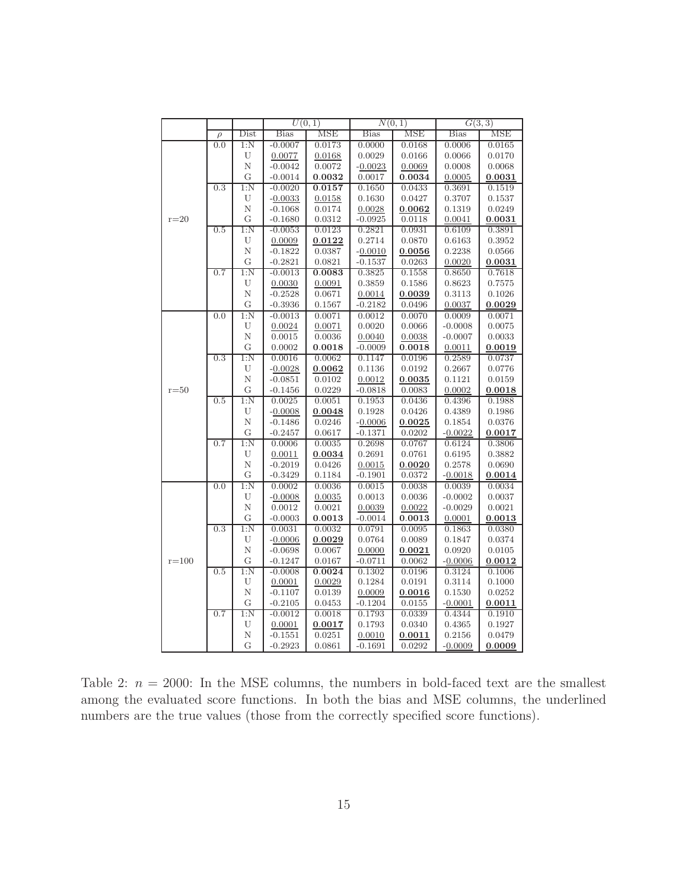|           |        |                  | $\overline{U(0,1)}$    |            | $\overline{N(0,1)}$ |        | G(3,3)      |            |
|-----------|--------|------------------|------------------------|------------|---------------------|--------|-------------|------------|
|           | $\rho$ | Dist             | <b>Bias</b>            | <b>MSE</b> | <b>Bias</b>         | MSE    | <b>Bias</b> | <b>MSE</b> |
|           | 0.0    | 1:N              | $-0.0007$              | 0.0173     | 0.0000              | 0.0168 | 0.0006      | 0.0165     |
|           |        | U                | 0.0077                 | 0.0168     | 0.0029              | 0.0166 | 0.0066      | 0.0170     |
|           |        | N                | $-0.0042$              | 0.0072     | $-0.0023$           | 0.0069 | 0.0008      | 0.0068     |
|           |        | G                | $-0.0014$              | 0.0032     | 0.0017              | 0.0034 | 0.0005      | 0.0031     |
|           | 0.3    | 1:N              | $-0.0020$              | 0.0157     | 0.1650              | 0.0433 | 0.3691      | 0.1519     |
|           |        | U                | $-0.0033$              | 0.0158     | 0.1630              | 0.0427 | 0.3707      | 0.1537     |
| $r=20$    |        | Ν                | $-0.1068$              | 0.0174     | 0.0028              | 0.0062 | 0.1319      | 0.0249     |
|           |        | G                | $-0.1680$              | 0.0312     | $-0.0925$           | 0.0118 | 0.0041      | 0.0031     |
|           | 0.5    | 1:N              | $-0.0053$              | 0.0123     | 0.2821              | 0.0931 | 0.6109      | 0.3891     |
|           |        | U                | 0.0009                 | 0.0122     | 0.2714              | 0.0870 | 0.6163      | 0.3952     |
|           |        | N                | $-0.1822$              | 0.0387     | $-0.0010$           | 0.0056 | 0.2238      | 0.0566     |
|           |        | G                | $-0.2821$              | 0.0821     | $-0.1537$           | 0.0263 | 0.0020      | 0.0031     |
|           | 0.7    | 1:N              | $-0.0013$              | 0.0083     | 0.3825              | 0.1558 | 0.8650      | 0.7618     |
|           |        | U                | 0.0030                 | 0.0091     | 0.3859              | 0.1586 | 0.8623      | 0.7575     |
|           |        | $\mathbf N$      | $-0.2528$              | 0.0671     | 0.0014              | 0.0039 | 0.3113      | 0.1026     |
|           |        | G                | $-0.3936$              | 0.1567     | $-0.2182$           | 0.0496 | 0.0037      | 0.0029     |
|           | 0.0    | 1:N              | $-0.0013$              | 0.0071     | 0.0012              | 0.0070 | 0.0009      | 0.0071     |
|           |        | U                | 0.0024                 | 0.0071     | 0.0020              | 0.0066 | $-0.0008$   | 0.0075     |
|           |        | $\mathbf N$      | 0.0015                 | 0.0036     | 0.0040              | 0.0038 | $-0.0007$   | 0.0033     |
|           |        | G                | 0.0002                 | 0.0018     | $-0.0009$           | 0.0018 | 0.0011      | 0.0019     |
|           | 0.3    | $1:\!N$          | 0.0016                 | 0.0062     | 0.1147              | 0.0196 | 0.2589      | 0.0737     |
|           |        | U                | $-0.0028$              | 0.0062     | 0.1136              | 0.0192 | 0.2667      | 0.0776     |
|           |        | $\mathbf N$      | $-0.0851$              | 0.0102     | 0.0012              | 0.0035 | 0.1121      | 0.0159     |
| $r = 50$  |        | G                | $-0.1456$              | 0.0229     | $-0.0818$           | 0.0083 | 0.0002      | 0.0018     |
|           | 0.5    | 1:N              | 0.0025                 | 0.0051     | 0.1953              | 0.0436 | 0.4396      | 0.1988     |
|           |        | U                | $-0.0008$              | 0.0048     | 0.1928              | 0.0426 | 0.4389      | 0.1986     |
|           |        | Ν                | $-0.1486$              | 0.0246     | $-0.0006$           | 0.0025 | 0.1854      | 0.0376     |
|           |        | G                | $-0.2457$              | 0.0617     | $-0.1371$           | 0.0202 | $-0.0022$   | 0.0017     |
|           | 0.7    | $1:\!N$          | 0.0006                 | 0.0035     | 0.2698              | 0.0767 | 0.6124      | 0.3806     |
|           |        | U                | 0.0011                 | 0.0034     | 0.2691              | 0.0761 | 0.6195      | 0.3882     |
|           |        | N                | $-0.2019$              | 0.0426     | 0.0015              | 0.0020 | 0.2578      | 0.0690     |
|           |        | G                | $-0.3429$              | 0.1184     | $-0.1901$           | 0.0372 | $-0.0018$   | 0.0014     |
| $r = 100$ | 0.0    | 1:N              | 0.0002                 | 0.0036     | 0.0015              | 0.0038 | 0.0039      | 0.0034     |
|           |        | U                | $-0.0008$              | 0.0035     | 0.0013              | 0.0036 | $-0.0002$   | 0.0037     |
|           |        | Ν                | 0.0012                 | 0.0021     | 0.0039              | 0.0022 | $-0.0029$   | 0.0021     |
|           |        | G                | $-0.0003$              | 0.0013     | $-0.0014$           | 0.0013 | 0.0001      | 0.0013     |
|           | 0.3    | $1:\!N$          | 0.0031                 | 0.0032     | 0.0791              | 0.0095 | 0.1863      | 0.0380     |
|           |        | U                | $-0.0006$              | 0.0029     | 0.0764              | 0.0089 | 0.1847      | 0.0374     |
|           |        | N                | $-0.0698$              | 0.0067     | 0.0000              | 0.0021 | 0.0920      | 0.0105     |
|           |        | G                | $-0.1247$              | 0.0167     | $-0.0711$           | 0.0062 | $-0.0006$   | 0.0012     |
|           | 0.5    | 1:N              | $-0.0008$              | 0.0024     | 0.1302              | 0.0196 | 0.3124      | 0.1006     |
|           |        | U<br>$\mathbf N$ | 0.0001                 | 0.0029     | 0.1284              | 0.0191 | 0.3114      | 0.1000     |
|           |        | G                | $-0.1107$              | 0.0139     | 0.0009              | 0.0016 | 0.1530      | 0.0252     |
|           | 0.7    | $1:\!N$          | $-0.2105$<br>$-0.0012$ | 0.0453     | $-0.1204$           | 0.0155 | $-0.0001$   | 0.0011     |
|           |        |                  |                        | 0.0018     | 0.1793              | 0.0339 | 0.4344      | 0.1910     |
|           |        | U<br>N           | 0.0001                 | 0.0017     | 0.1793              | 0.0340 | 0.4365      | 0.1927     |
|           |        | G                | $-0.1551$              | 0.0251     | 0.0010              | 0.0011 | 0.2156      | 0.0479     |
|           |        |                  | $-0.2923$              | 0.0861     | $-0.1691$           | 0.0292 | $-0.0009$   | 0.0009     |

Table 2:  $n = 2000$ : In the MSE columns, the numbers in bold-faced text are the smallest among the evaluated score functions. In both the bias and MSE columns, the underlined numbers are the true values (those from the correctly specified score functions).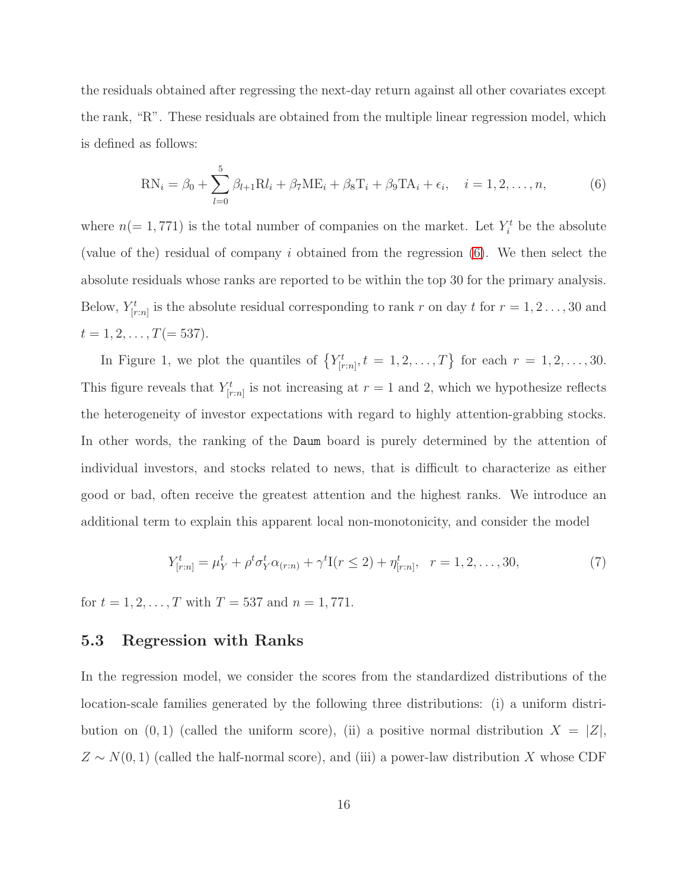the residuals obtained after regressing the next-day return against all other covariates except the rank, "R". These residuals are obtained from the multiple linear regression model, which is defined as follows:

<span id="page-15-0"></span>
$$
RN_{i} = \beta_{0} + \sum_{l=0}^{5} \beta_{l+1} Rl_{i} + \beta_{7} ME_{i} + \beta_{8} T_{i} + \beta_{9} TA_{i} + \epsilon_{i}, \quad i = 1, 2, ..., n,
$$
 (6)

where  $n(=1, 771)$  is the total number of companies on the market. Let  $Y_i^t$  be the absolute (value of the) residual of company i obtained from the regression [\(6\)](#page-15-0). We then select the absolute residuals whose ranks are reported to be within the top 30 for the primary analysis. Below,  $Y_{[r:n]}^t$  is the absolute residual corresponding to rank r on day t for  $r = 1, 2, ..., 30$  and  $t = 1, 2, \ldots, T(= 537).$ 

In Figure 1, we plot the quantiles of  $\{Y_{[r:n]}^t, t = 1, 2, \ldots, T\}$  for each  $r = 1, 2, \ldots, 30$ . This figure reveals that  $Y_{[r:n]}^t$  is not increasing at  $r=1$  and 2, which we hypothesize reflects the heterogeneity of investor expectations with regard to highly attention-grabbing stocks. In other words, the ranking of the Daum board is purely determined by the attention of individual investors, and stocks related to news, that is difficult to characterize as either good or bad, often receive the greatest attention and the highest ranks. We introduce an additional term to explain this apparent local non-monotonicity, and consider the model

<span id="page-15-1"></span>
$$
Y_{[r:n]}^t = \mu_Y^t + \rho^t \sigma_Y^t \alpha_{(r:n)} + \gamma^t I(r \le 2) + \eta_{[r:n]}^t, \quad r = 1, 2, \dots, 30,
$$
\n<sup>(7)</sup>

for  $t = 1, 2, ..., T$  with  $T = 537$  and  $n = 1, 771$ .

#### 5.3 Regression with Ranks

In the regression model, we consider the scores from the standardized distributions of the location-scale families generated by the following three distributions: (i) a uniform distribution on  $(0, 1)$  (called the uniform score), (ii) a positive normal distribution  $X = |Z|$ ,  $Z \sim N(0, 1)$  (called the half-normal score), and (iii) a power-law distribution X whose CDF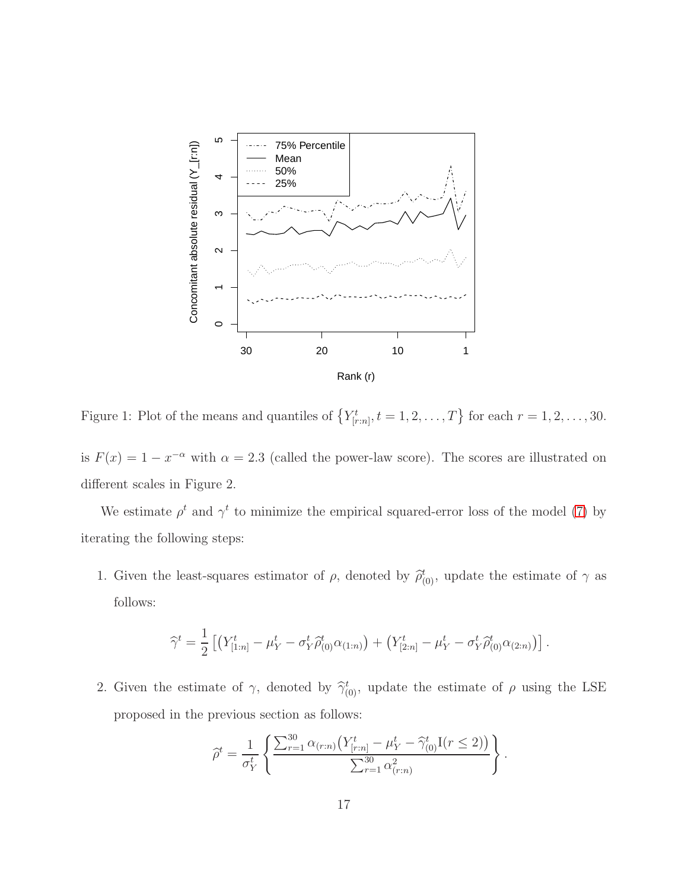

Figure 1: Plot of the means and quantiles of  $\{Y^t_{[r:n]}, t = 1, 2, \ldots, T\}$  for each  $r = 1, 2, \ldots, 30$ .

is  $F(x) = 1 - x^{-\alpha}$  with  $\alpha = 2.3$  (called the power-law score). The scores are illustrated on different scales in Figure 2.

We estimate  $\rho^t$  and  $\gamma^t$  to minimize the empirical squared-error loss of the model [\(7\)](#page-15-1) by iterating the following steps:

1. Given the least-squares estimator of  $\rho$ , denoted by  $\hat{\rho}_{(0)}^t$ , update the estimate of  $\gamma$  as follows:

$$
\widehat{\gamma}^t = \frac{1}{2} \left[ \left( Y^t_{[1:n]} - \mu_Y^t - \sigma_Y^t \widehat{\rho}_{(0)}^t \alpha_{(1:n)} \right) + \left( Y^t_{[2:n]} - \mu_Y^t - \sigma_Y^t \widehat{\rho}_{(0)}^t \alpha_{(2:n)} \right) \right].
$$

2. Given the estimate of  $\gamma$ , denoted by  $\hat{\gamma}_{(0)}^t$ , update the estimate of  $\rho$  using the LSE proposed in the previous section as follows:

$$
\widehat{\rho}^t = \frac{1}{\sigma_Y^t} \left\{ \frac{\sum_{r=1}^{30} \alpha_{(r:n)} \left( Y_{[r:n]}^t - \mu_Y^t - \widehat{\gamma}_{(0)}^t I(r \leq 2) \right)}{\sum_{r=1}^{30} \alpha_{(r:n)}^2} \right\}.
$$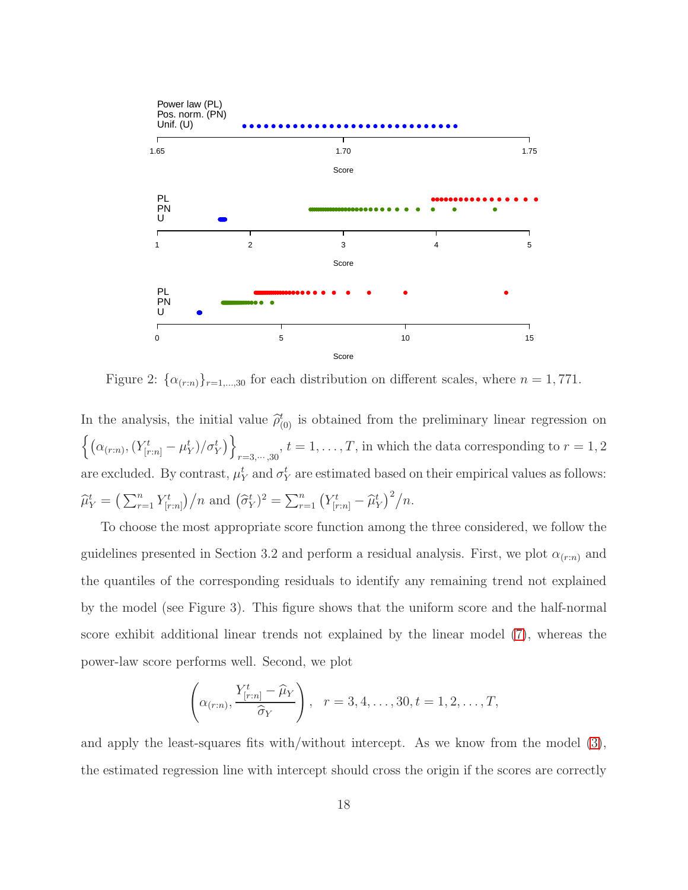

Figure 2:  $\{\alpha_{(r:n)}\}_{r=1,\dots,30}$  for each distribution on different scales, where  $n=1,771$ .

In the analysis, the initial value  $\hat{\rho}_{(0)}^{t}$  is obtained from the preliminary linear regression on  $\left\{\left(\alpha_{(r:n)},(Y_{[r:n]}^t-\mu_Y^t)/\sigma_Y^t\right)\right\}$  $\sum_{r=3,\dots,30}$ ,  $t=1,\dots,T$ , in which the data corresponding to  $r=1,2$ are excluded. By contrast,  $\mu_Y^t$  and  $\sigma_Y^t$  are estimated based on their empirical values as follows:  $\widehat{\mu}_Y^t = \left(\sum_{r=1}^n Y_{[r:n]}^t\right) / n$  and  $(\widehat{\sigma}_Y^t)^2 = \sum_{r=1}^n (Y_{[r:n]}^t - \widehat{\mu}_Y^t)^2 / n$ .

To choose the most appropriate score function among the three considered, we follow the guidelines presented in Section 3.2 and perform a residual analysis. First, we plot  $\alpha_{(r:n)}$  and the quantiles of the corresponding residuals to identify any remaining trend not explained by the model (see Figure 3). This figure shows that the uniform score and the half-normal score exhibit additional linear trends not explained by the linear model [\(7\)](#page-15-1), whereas the power-law score performs well. Second, we plot

$$
\left(\alpha_{(r:n)}, \frac{Y_{[r:n]}^t - \widehat{\mu}_Y}{\widehat{\sigma}_Y}\right), \quad r = 3, 4, \dots, 30, t = 1, 2, \dots, T,
$$

and apply the least-squares fits with/without intercept. As we know from the model [\(3\)](#page-7-0), the estimated regression line with intercept should cross the origin if the scores are correctly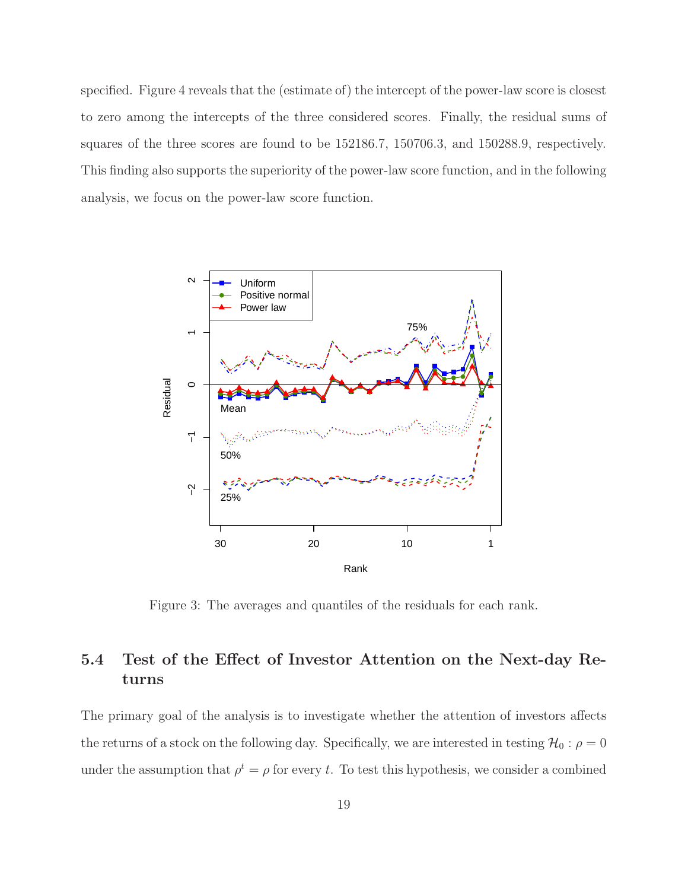specified. Figure 4 reveals that the (estimate of) the intercept of the power-law score is closest to zero among the intercepts of the three considered scores. Finally, the residual sums of squares of the three scores are found to be 152186.7, 150706.3, and 150288.9, respectively. This finding also supports the superiority of the power-law score function, and in the following analysis, we focus on the power-law score function.



Figure 3: The averages and quantiles of the residuals for each rank.

### 5.4 Test of the Effect of Investor Attention on the Next-day Returns

The primary goal of the analysis is to investigate whether the attention of investors affects the returns of a stock on the following day. Specifically, we are interested in testing  $\mathcal{H}_0$  :  $\rho = 0$ under the assumption that  $\rho^t = \rho$  for every t. To test this hypothesis, we consider a combined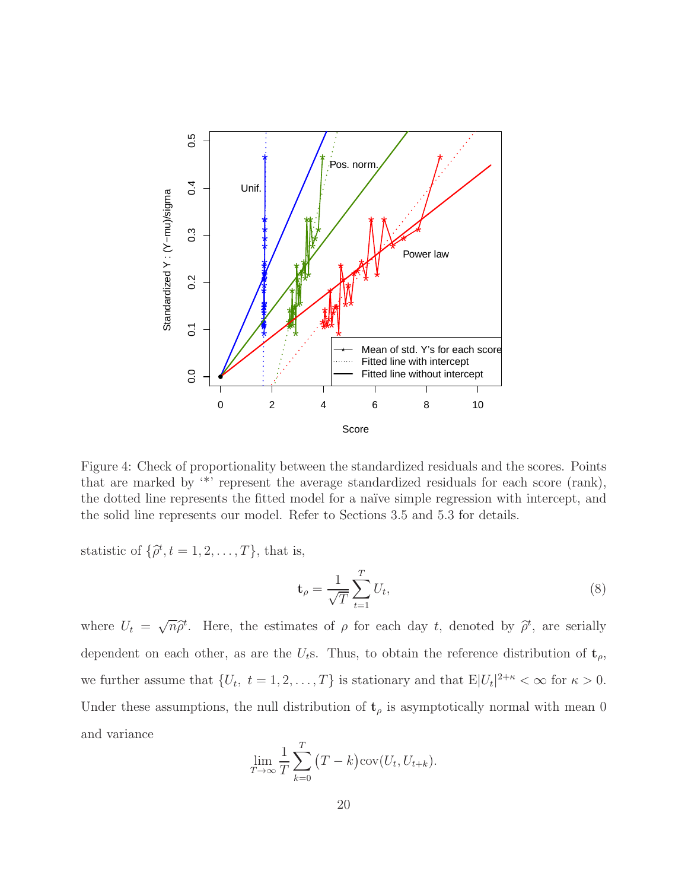

Figure 4: Check of proportionality between the standardized residuals and the scores. Points that are marked by '\*' represent the average standardized residuals for each score (rank), the dotted line represents the fitted model for a naïve simple regression with intercept, and the solid line represents our model. Refer to Sections 3.5 and 5.3 for details.

statistic of  $\{\hat{\rho}^t, t = 1, 2, \dots, T\}$ , that is,

$$
\mathbf{t}_{\rho} = \frac{1}{\sqrt{T}} \sum_{t=1}^{T} U_t,\tag{8}
$$

where  $U_t = \sqrt{n}\hat{\rho}^t$ . Here, the estimates of  $\rho$  for each day t, denoted by  $\hat{\rho}^t$ , are serially dependent on each other, as are the  $U_t$ s. Thus, to obtain the reference distribution of  $\mathbf{t}_{\rho}$ , we further assume that  $\{U_t, t = 1, 2, ..., T\}$  is stationary and that  $E|U_t|^{2+\kappa} < \infty$  for  $\kappa > 0$ . Under these assumptions, the null distribution of  $t<sub>\rho</sub>$  is asymptotically normal with mean 0 and variance

$$
\lim_{T \to \infty} \frac{1}{T} \sum_{k=0}^{T} (T - k) \operatorname{cov}(U_t, U_{t+k}).
$$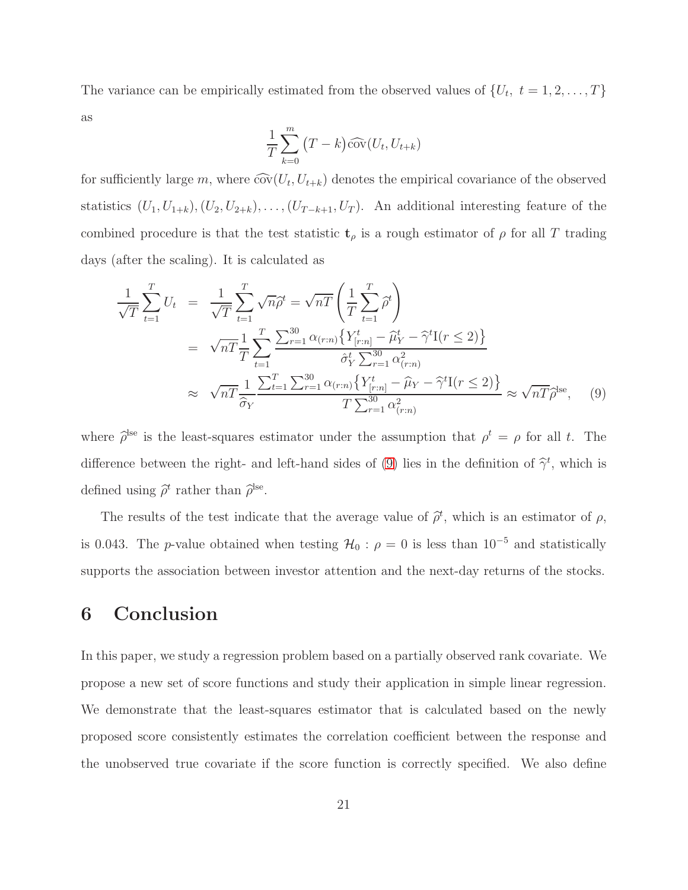The variance can be empirically estimated from the observed values of  $\{U_t, t = 1, 2, ..., T\}$ as

$$
\frac{1}{T} \sum_{k=0}^{m} (T - k) \widehat{\mathrm{cov}}(U_t, U_{t+k})
$$

for sufficiently large  $m$ , where  $\widehat{cov}(U_t, U_{t+k})$  denotes the empirical covariance of the observed statistics  $(U_1, U_{1+k}), (U_2, U_{2+k}), \ldots, (U_{T-k+1}, U_T)$ . An additional interesting feature of the combined procedure is that the test statistic  $t_\rho$  is a rough estimator of  $\rho$  for all T trading days (after the scaling). It is calculated as

<span id="page-20-0"></span>
$$
\frac{1}{\sqrt{T}} \sum_{t=1}^{T} U_t = \frac{1}{\sqrt{T}} \sum_{t=1}^{T} \sqrt{n} \hat{\rho}^t = \sqrt{n} \left( \frac{1}{T} \sum_{t=1}^{T} \hat{\rho}^t \right)
$$
\n
$$
= \sqrt{n} \frac{1}{T} \sum_{t=1}^{T} \sum_{r=1}^{30} \frac{\Delta(r:n)}{\Delta(r:n)} \left\{ Y_{[r:n]}^t - \hat{\mu}_Y^t - \hat{\gamma}^t I(r \le 2) \right\}
$$
\n
$$
\approx \sqrt{n} \frac{1}{\hat{\sigma}_Y} \frac{\sum_{t=1}^{T} \sum_{r=1}^{30} \alpha_{(r:n)} \left\{ Y_{[r:n]}^t - \hat{\mu}_Y - \hat{\gamma}^t I(r \le 2) \right\}}{T \sum_{r=1}^{30} \alpha_{(r:n)}^2} \approx \sqrt{n} \hat{\rho}^{\text{lse}}, \quad (9)
$$

where  $\hat{\rho}^{\text{lse}}$  is the least-squares estimator under the assumption that  $\rho^t = \rho$  for all t. The difference between the right- and left-hand sides of [\(9\)](#page-20-0) lies in the definition of  $\hat{\gamma}^t$ , which is defined using  $\hat{\rho}^t$  rather than  $\hat{\rho}^{\text{lse}}$ .

The results of the test indicate that the average value of  $\hat{\rho}^t$ , which is an estimator of  $\rho$ , is 0.043. The p-value obtained when testing  $\mathcal{H}_0$ :  $\rho = 0$  is less than 10<sup>-5</sup> and statistically supports the association between investor attention and the next-day returns of the stocks.

### 6 Conclusion

In this paper, we study a regression problem based on a partially observed rank covariate. We propose a new set of score functions and study their application in simple linear regression. We demonstrate that the least-squares estimator that is calculated based on the newly proposed score consistently estimates the correlation coefficient between the response and the unobserved true covariate if the score function is correctly specified. We also define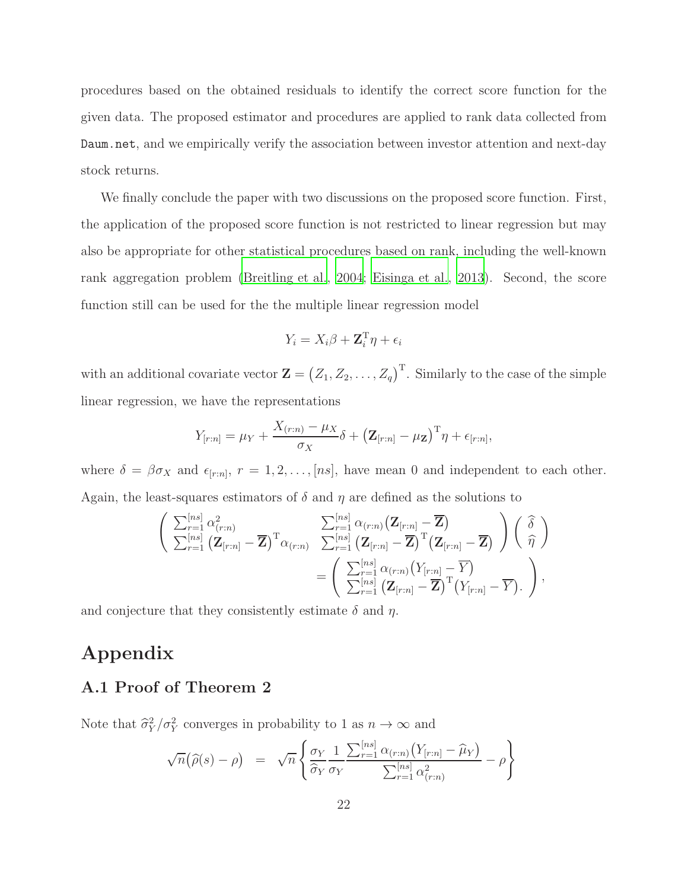procedures based on the obtained residuals to identify the correct score function for the given data. The proposed estimator and procedures are applied to rank data collected from Daum.net, and we empirically verify the association between investor attention and next-day stock returns.

We finally conclude the paper with two discussions on the proposed score function. First, the application of the proposed score function is not restricted to linear regression but may also be appropriate for other statistical procedures based on rank, including the well-known rank aggregation problem [\(Breitling et al.](#page-25-2), [2004](#page-25-2); [Eisinga et al., 2013\)](#page-26-10). Second, the score function still can be used for the the multiple linear regression model

$$
Y_i = X_i \beta + \mathbf{Z}_i^{\mathrm{T}} \eta + \epsilon_i
$$

with an additional covariate vector  $\mathbf{Z} = (Z_1, Z_2, \ldots, Z_q)^{\mathrm{T}}$ . Similarly to the case of the simple linear regression, we have the representations

$$
Y_{[r:n]} = \mu_Y + \frac{X_{(r:n)} - \mu_X}{\sigma_X} \delta + (\mathbf{Z}_{[r:n]} - \mu_Z)^{\mathrm{T}} \eta + \epsilon_{[r:n]},
$$

where  $\delta = \beta \sigma_X$  and  $\epsilon_{[r:n]}, r = 1, 2, \ldots, [ns],$  have mean 0 and independent to each other. Again, the least-squares estimators of  $\delta$  and  $\eta$  are defined as the solutions to

$$
\begin{aligned}\n&\left(\begin{array}{cc}\sum_{r=1}^{[ns]}\alpha_{(r:n)}^2 & \sum_{r=1}^{[ns]}\alpha_{(r:n)}(\mathbf{Z}_{[r:n]}-\overline{\mathbf{Z}}) \\
\sum_{r=1}^{[ns]}\left(\mathbf{Z}_{[r:n]}-\overline{\mathbf{Z}}\right)^{\mathrm{T}}\alpha_{(r:n)} & \sum_{r=1}^{[ns]}\left(\mathbf{Z}_{[r:n]}-\overline{\mathbf{Z}}\right)^{\mathrm{T}}(\mathbf{Z}_{[r:n]}-\overline{\mathbf{Z}})\n\end{array}\right)\left(\begin{array}{c}\n\widehat{\delta} \\
\widehat{\eta}\n\end{array}\right) \\
&=\left(\begin{array}{c}\sum_{r=1}^{[ns]}\alpha_{(r:n)}\left(Y_{[r:n]}-\overline{\mathbf{Y}}\right) \\
\sum_{r=1}^{[ns]}\left(\mathbf{Z}_{[r:n]}-\overline{\mathbf{Z}}\right)^{\mathrm{T}}\left(Y_{[r:n]}-\overline{\mathbf{Y}}\right).\n\end{array}\right),\n\end{aligned}
$$

and conjecture that they consistently estimate  $\delta$  and  $\eta$ .

## Appendix

### A.1 Proof of Theorem 2

Note that  $\hat{\sigma}_Y^2/\sigma_Y^2$  converges in probability to 1 as  $n \to \infty$  and

$$
\sqrt{n}(\widehat{\rho}(s)-\rho) = \sqrt{n} \left\{ \frac{\sigma_Y}{\widehat{\sigma}_Y} \frac{1}{\sigma_Y} \frac{\sum_{r=1}^{[ns]} \alpha_{(r:n)} (Y_{[r:n]} - \widehat{\mu}_Y)}{\sum_{r=1}^{[ns]} \alpha_{(r:n)}^2} - \rho \right\}
$$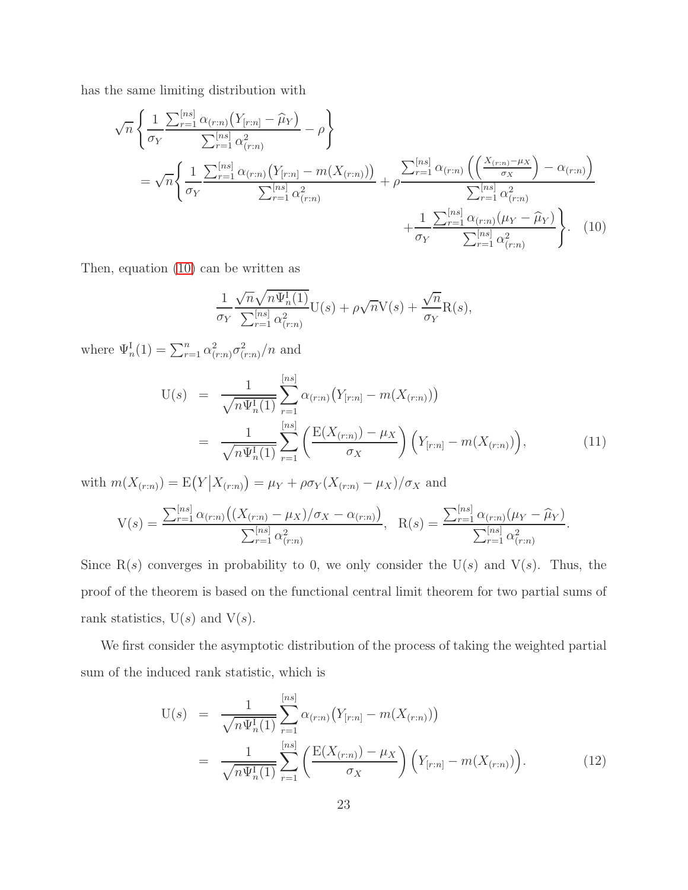has the same limiting distribution with

<span id="page-22-0"></span>
$$
\sqrt{n} \left\{ \frac{1}{\sigma_Y} \frac{\sum_{r=1}^{[ns]} \alpha_{(r:n)} (Y_{[r:n]} - \hat{\mu}_Y)}{\sum_{r=1}^{[ns]} \alpha_{(r:n)}^2} - \rho \right\}
$$
\n
$$
= \sqrt{n} \left\{ \frac{1}{\sigma_Y} \frac{\sum_{r=1}^{[ns]} \alpha_{(r:n)} (Y_{[r:n]} - m(X_{(r:n)}))}{\sum_{r=1}^{[ns]} \alpha_{(r:n)}^2} + \rho \frac{\sum_{r=1}^{[ns]} \alpha_{(r:n)} \left( \left( \frac{X_{(r:n)} - \mu_X}{\sigma_X} \right) - \alpha_{(r:n)} \right)}{\sum_{r=1}^{[ns]} \alpha_{(r:n)}^2} + \frac{1}{\sigma_Y} \frac{\sum_{r=1}^{[ns]} \alpha_{(r:n)} (\mu_Y - \hat{\mu}_Y)}{\sum_{r=1}^{[ns]} \alpha_{(r:n)}^2} \right\}.
$$
\n(10)

Then, equation [\(10\)](#page-22-0) can be written as

$$
\frac{1}{\sigma_Y} \frac{\sqrt{n} \sqrt{n} \Psi_n^{\text{I}}(1)}{\sum_{r=1}^{[ns]} \alpha_{(r:n)}^2} U(s) + \rho \sqrt{n} V(s) + \frac{\sqrt{n}}{\sigma_Y} R(s),
$$

where  $\Psi_n^{\text{I}}(1) = \sum_{r=1}^n \alpha_{(r:n)}^2 \sigma_{(r:n)}^2/n$  and

$$
U(s) = \frac{1}{\sqrt{n\Psi_n^I(1)}} \sum_{r=1}^{[ns]} \alpha_{(r:n)} (Y_{[r:n]} - m(X_{(r:n)}))
$$
  
= 
$$
\frac{1}{\sqrt{n\Psi_n^I(1)}} \sum_{r=1}^{[ns]} \left( \frac{E(X_{(r:n)}) - \mu_X}{\sigma_X} \right) (Y_{[r:n]} - m(X_{(r:n)})),
$$
 (11)

with  $m(X_{(r:n)}) = E(Y|X_{(r:n)}) = \mu_Y + \rho \sigma_Y (X_{(r:n)} - \mu_X) / \sigma_X$  and

$$
V(s) = \frac{\sum_{r=1}^{[ns]} \alpha_{(r:n)} \left( (X_{(r:n)} - \mu_X) / \sigma_X - \alpha_{(r:n)} \right)}{\sum_{r=1}^{[ns]} \alpha_{(r:n)}^2}, \quad R(s) = \frac{\sum_{r=1}^{[ns]} \alpha_{(r:n)} (\mu_Y - \widehat{\mu}_Y)}{\sum_{r=1}^{[ns]} \alpha_{(r:n)}^2}.
$$

Since  $R(s)$  converges in probability to 0, we only consider the  $U(s)$  and  $V(s)$ . Thus, the proof of the theorem is based on the functional central limit theorem for two partial sums of rank statistics,  $U(s)$  and  $V(s)$ .

We first consider the asymptotic distribution of the process of taking the weighted partial sum of the induced rank statistic, which is

<span id="page-22-1"></span>
$$
U(s) = \frac{1}{\sqrt{n\Psi_n^I(1)}} \sum_{r=1}^{[ns]} \alpha_{(r:n)} (Y_{[r:n]} - m(X_{(r:n)}))
$$
  
= 
$$
\frac{1}{\sqrt{n\Psi_n^I(1)}} \sum_{r=1}^{[ns]} \left( \frac{E(X_{(r:n)}) - \mu_X}{\sigma_X} \right) (Y_{[r:n]} - m(X_{(r:n)})).
$$
 (12)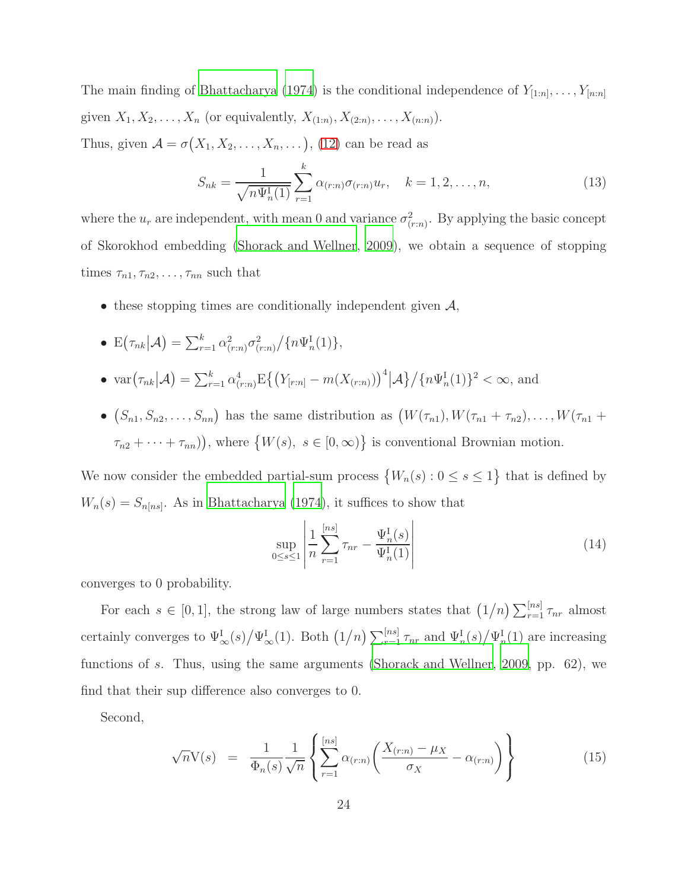The main finding of [Bhattacharya \(1974\)](#page-25-3) is the conditional independence of  $Y_{[1:n]}, \ldots, Y_{[n:n]}$ given  $X_1, X_2, ..., X_n$  (or equivalently,  $X_{(1:n)}, X_{(2:n)}, ..., X_{(n:n)}$ ). Thus, given  $\mathcal{A} = \sigma(X_1, X_2, \dots, X_n, \dots)$ , [\(12\)](#page-22-1) can be read as

$$
S_{nk} = \frac{1}{\sqrt{n\Psi_n^{\{1\}}(1)}} \sum_{r=1}^{k} \alpha_{(r:n)} \sigma_{(r:n)} u_r, \quad k = 1, 2, \dots, n,
$$
\n(13)

where the  $u_r$  are independent, with mean 0 and variance  $\sigma_{(r:n)}^2$ . By applying the basic concept of Skorokhod embedding [\(Shorack and Wellner](#page-27-5), [2009\)](#page-27-5), we obtain a sequence of stopping times  $\tau_{n1}, \tau_{n2}, \ldots, \tau_{nn}$  such that

- these stopping times are conditionally independent given  $A$ ,
- $E(\tau_{nk}|\mathcal{A}) = \sum_{r=1}^{k} \alpha_{(r:n)}^2 \sigma_{(r:n)}^2 / \{n\Psi_n^{\mathrm{I}}(1)\},$
- $\text{var}(\tau_{nk}|\mathcal{A}) = \sum_{r=1}^{k} \alpha_{(r:n)}^4 \mathbb{E}\left\{ (Y_{[r:n]} m(X_{(r:n)}))^4 | \mathcal{A} \right\} / \{n\Psi_n^I(1)\}^2 < \infty$ , and
- $(S_{n1}, S_{n2}, \ldots, S_{nn})$  has the same distribution as  $(W(\tau_{n1}), W(\tau_{n1} + \tau_{n2}), \ldots, W(\tau_{n1} +$  $\tau_{n2} + \cdots + \tau_{nn}$ ), where  $\{W(s), s \in [0, \infty)\}\$ is conventional Brownian motion.

We now consider the embedded partial-sum process  $\{W_n(s): 0 \le s \le 1\}$  that is defined by  $W_n(s) = S_{n[ns]}$ . As in [Bhattacharya \(1974\)](#page-25-3), it suffices to show that

$$
\sup_{0 \le s \le 1} \left| \frac{1}{n} \sum_{r=1}^{[ns]} \tau_{nr} - \frac{\Psi_n^{\{I\}}(s)}{\Psi_n^{\{I\}}(1)} \right| \tag{14}
$$

converges to 0 probability.

For each  $s \in [0,1]$ , the strong law of large numbers states that  $(1/n) \sum_{r=1}^{\lfloor ns \rfloor} \tau_{nr}$  almost certainly converges to  $\Psi_{\infty}^{I}(s)/\Psi_{\infty}^{I}(1)$ . Both  $(1/n) \sum_{r=1}^{[ns]} \tau_{nr}$  and  $\Psi_{n}^{I}(s)/\Psi_{n}^{I}(1)$  are increasing functions of s. Thus, using the same arguments [\(Shorack and Wellner, 2009](#page-27-5), pp. 62), we find that their sup difference also converges to 0.

Second,

$$
\sqrt{n}V(s) = \frac{1}{\Phi_n(s)} \frac{1}{\sqrt{n}} \left\{ \sum_{r=1}^{[ns]} \alpha_{(r:n)} \left( \frac{X_{(r:n)} - \mu_X}{\sigma_X} - \alpha_{(r:n)} \right) \right\} \tag{15}
$$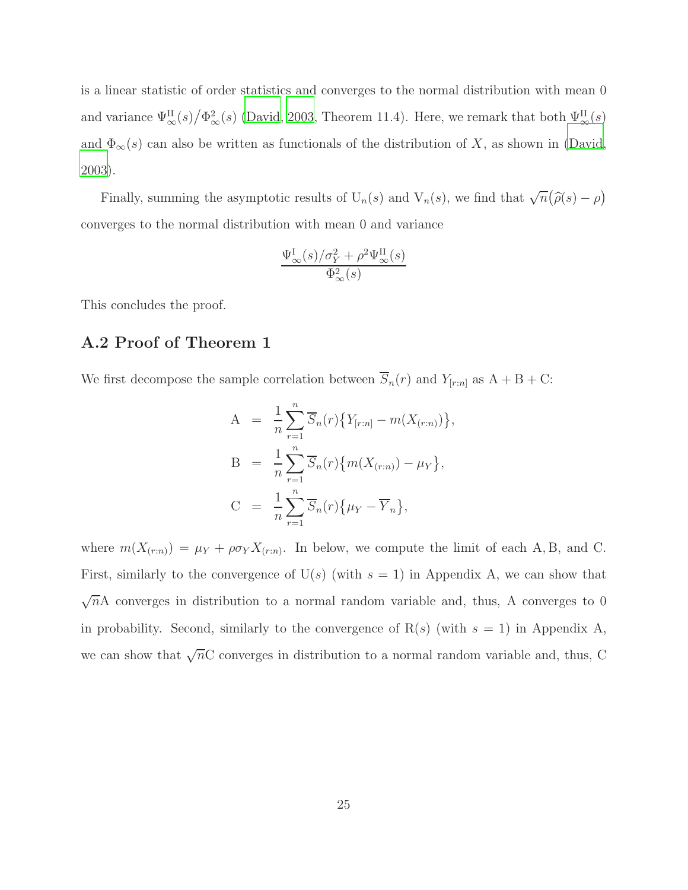is a linear statistic of order statistics and converges to the normal distribution with mean 0 and variance  $\Psi_{\infty}^{II}(s)/\Phi_{\infty}^{2}(s)$  [\(David](#page-26-8), [2003,](#page-26-8) Theorem 11.4). Here, we remark that both  $\Psi_{\infty}^{II}(s)$ and  $\Phi_{\infty}(s)$  can also be written as functionals of the distribution of X, as shown in [\(David,](#page-26-8) [2003\)](#page-26-8).

Finally, summing the asymptotic results of  $U_n(s)$  and  $V_n(s)$ , we find that  $\sqrt{n}(\hat{\rho}(s) - \rho)$ converges to the normal distribution with mean 0 and variance

$$
\frac{\Psi_{\infty}^{I}(s)/\sigma_{Y}^{2} + \rho^{2} \Psi_{\infty}^{II}(s)}{\Phi_{\infty}^{2}(s)}
$$

This concludes the proof.

### A.2 Proof of Theorem 1

We first decompose the sample correlation between  $\overline{S}_n(r)$  and  $Y_{[r:n]}$  as  $A + B + C$ :

$$
A = \frac{1}{n} \sum_{r=1}^{n} \overline{S}_{n}(r) \{ Y_{[r:n]} - m(X_{(r:n)}) \},
$$
  
\n
$$
B = \frac{1}{n} \sum_{r=1}^{n} \overline{S}_{n}(r) \{ m(X_{(r:n)}) - \mu_{Y} \},
$$
  
\n
$$
C = \frac{1}{n} \sum_{r=1}^{n} \overline{S}_{n}(r) \{ \mu_{Y} - \overline{Y}_{n} \},
$$

where  $m(X_{(r:n)}) = \mu_Y + \rho \sigma_Y X_{(r:n)}$ . In below, we compute the limit of each A, B, and C. First, similarly to the convergence of  $U(s)$  (with  $s = 1$ ) in Appendix A, we can show that  $\sqrt{n}A$  converges in distribution to a normal random variable and, thus, A converges to 0 in probability. Second, similarly to the convergence of  $R(s)$  (with  $s = 1$ ) in Appendix A, we can show that  $\sqrt{n}C$  converges in distribution to a normal random variable and, thus, C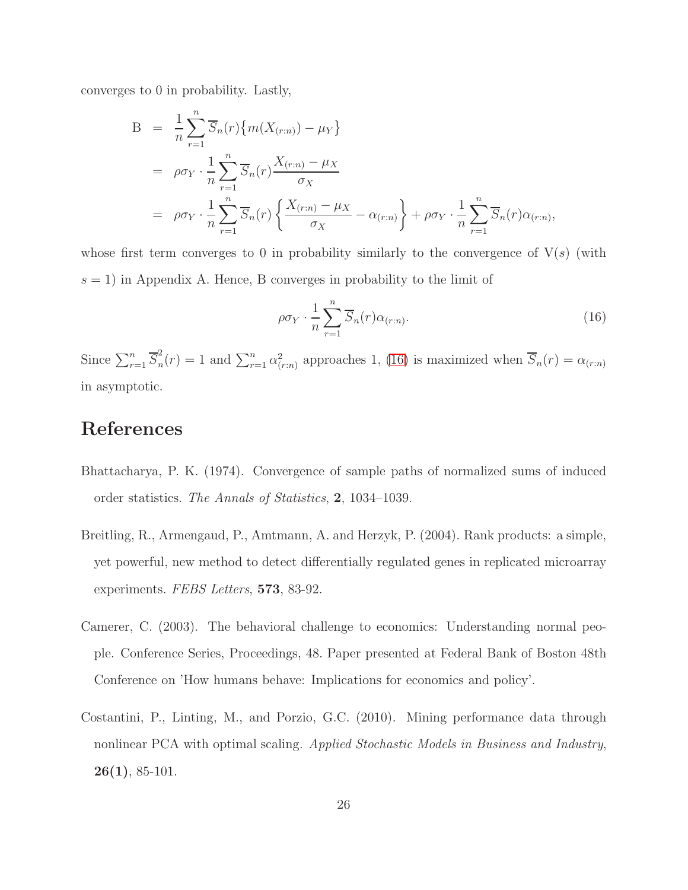converges to 0 in probability. Lastly,

$$
B = \frac{1}{n} \sum_{r=1}^{n} \overline{S}_n(r) \{ m(X_{(r:n)}) - \mu_Y \}
$$
  
\n
$$
= \rho \sigma_Y \cdot \frac{1}{n} \sum_{r=1}^{n} \overline{S}_n(r) \frac{X_{(r:n)} - \mu_X}{\sigma_X}
$$
  
\n
$$
= \rho \sigma_Y \cdot \frac{1}{n} \sum_{r=1}^{n} \overline{S}_n(r) \left\{ \frac{X_{(r:n)} - \mu_X}{\sigma_X} - \alpha_{(r:n)} \right\} + \rho \sigma_Y \cdot \frac{1}{n} \sum_{r=1}^{n} \overline{S}_n(r) \alpha_{(r:n)},
$$

whose first term converges to 0 in probability similarly to the convergence of  $V(s)$  (with  $s = 1$ ) in Appendix A. Hence, B converges in probability to the limit of

<span id="page-25-4"></span>
$$
\rho \sigma_Y \cdot \frac{1}{n} \sum_{r=1}^n \overline{S}_n(r) \alpha_{(r:n)}.
$$
\n(16)

Since  $\sum_{r=1}^n \overline{S}_n^2$  $n_n^2(r) = 1$  and  $\sum_{r=1}^n \alpha_{(r:n)}^2$  approaches 1, [\(16\)](#page-25-4) is maximized when  $\overline{S}_n(r) = \alpha_{(r:n)}$ in asymptotic.

### References

- <span id="page-25-3"></span>Bhattacharya, P. K. (1974). Convergence of sample paths of normalized sums of induced order statistics. The Annals of Statistics, 2, 1034–1039.
- <span id="page-25-2"></span>Breitling, R., Armengaud, P., Amtmann, A. and Herzyk, P. (2004). Rank products: a simple, yet powerful, new method to detect differentially regulated genes in replicated microarray experiments. FEBS Letters, 573, 83-92.
- <span id="page-25-0"></span>Camerer, C. (2003). The behavioral challenge to economics: Understanding normal people. Conference Series, Proceedings, 48. Paper presented at Federal Bank of Boston 48th Conference on 'How humans behave: Implications for economics and policy'.
- <span id="page-25-1"></span>Costantini, P., Linting, M., and Porzio, G.C. (2010). Mining performance data through nonlinear PCA with optimal scaling. Applied Stochastic Models in Business and Industry, 26(1), 85-101.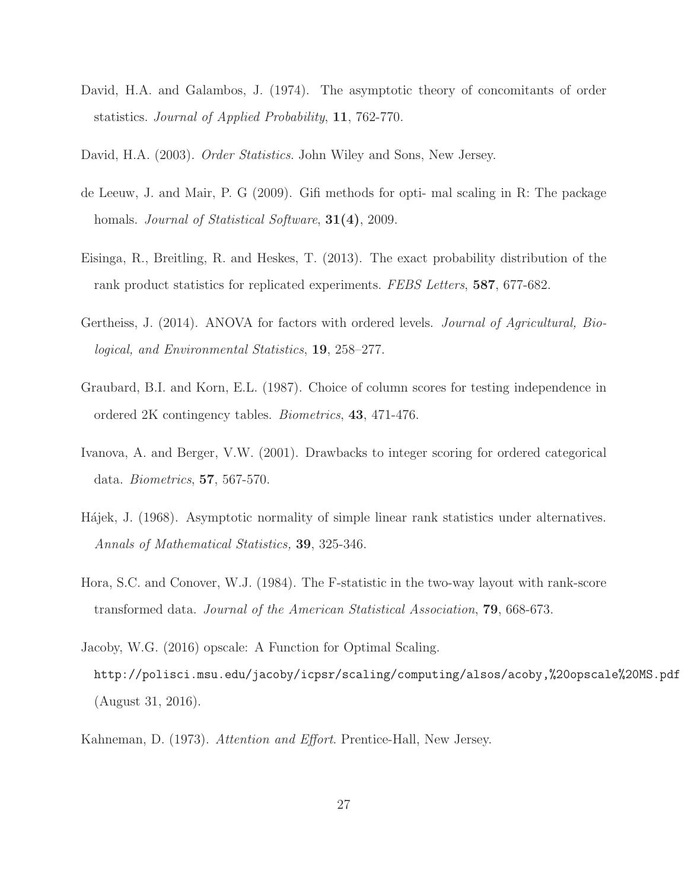- <span id="page-26-9"></span>David, H.A. and Galambos, J. (1974). The asymptotic theory of concomitants of order statistics. Journal of Applied Probability, 11, 762-770.
- <span id="page-26-8"></span>David, H.A. (2003). *Order Statistics*. John Wiley and Sons, New Jersey.
- <span id="page-26-6"></span>de Leeuw, J. and Mair, P. G (2009). Gifi methods for opti- mal scaling in R: The package homals. *Journal of Statistical Software*, **31(4)**, 2009.
- <span id="page-26-10"></span>Eisinga, R., Breitling, R. and Heskes, T. (2013). The exact probability distribution of the rank product statistics for replicated experiments. FEBS Letters, 587, 677-682.
- <span id="page-26-3"></span>Gertheiss, J. (2014). ANOVA for factors with ordered levels. *Journal of Agricultural*, *Bio*logical, and Environmental Statistics, 19, 258–277.
- <span id="page-26-4"></span>Graubard, B.I. and Korn, E.L. (1987). Choice of column scores for testing independence in ordered 2K contingency tables. Biometrics, 43, 471-476.
- <span id="page-26-5"></span>Ivanova, A. and Berger, V.W. (2001). Drawbacks to integer scoring for ordered categorical data. Biometrics, 57, 567-570.
- <span id="page-26-1"></span>Hájek, J. (1968). Asymptotic normality of simple linear rank statistics under alternatives. Annals of Mathematical Statistics, 39, 325-346.
- <span id="page-26-2"></span>Hora, S.C. and Conover, W.J. (1984). The F-statistic in the two-way layout with rank-score transformed data. Journal of the American Statistical Association, 79, 668-673.
- <span id="page-26-7"></span>Jacoby, W.G. (2016) opscale: A Function for Optimal Scaling. http://polisci.msu.edu/jacoby/icpsr/scaling/computing/alsos/acoby,%20opscale%20MS.pdf (August 31, 2016).
- <span id="page-26-0"></span>Kahneman, D. (1973). Attention and Effort. Prentice-Hall, New Jersey.